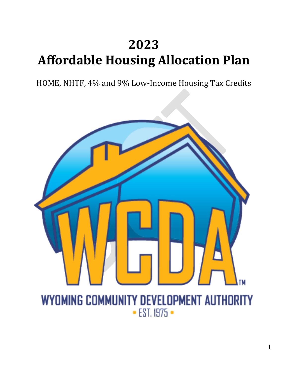# **2023 Affordable Housing Allocation Plan**

HOME, NHTF, 4% and 9% Low-Income Housing Tax Credits

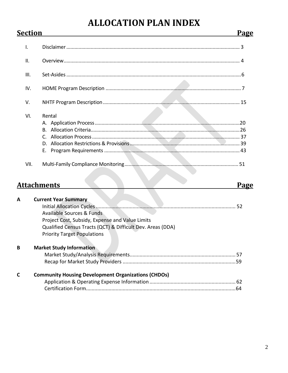## **ALLOCATION PLAN INDEX**

**Section** 

| VII.           |          |  |
|----------------|----------|--|
|                | D.<br>Е. |  |
|                | C.       |  |
|                | В.       |  |
| VI.            | Rental   |  |
| V.             |          |  |
| IV.            |          |  |
| III.           |          |  |
| $\mathsf{II}.$ |          |  |
|                |          |  |

| Α | <b>Current Year Summary</b>                                |  |
|---|------------------------------------------------------------|--|
|   |                                                            |  |
|   | <b>Available Sources &amp; Funds</b>                       |  |
|   | Project Cost, Subsidy, Expense and Value Limits            |  |
|   | Qualified Census Tracts (QCT) & Difficult Dev. Areas (DDA) |  |
|   | <b>Priority Target Populations</b>                         |  |
| в | <b>Market Study Information</b>                            |  |
|   |                                                            |  |
|   |                                                            |  |
| C | <b>Community Housing Development Organizations (CHDOs)</b> |  |
|   |                                                            |  |
|   | 64                                                         |  |

 $\overline{\phantom{a}}$ 

 $\overline{\phantom{0}}$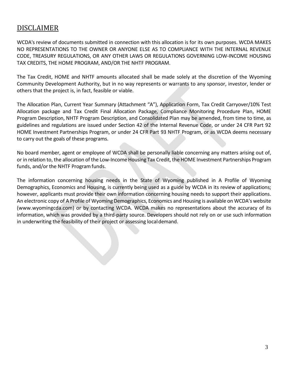### DISCLAIMER

WCDA's review of documents submitted in connection with this allocation is for its own purposes. WCDA MAKES NO REPRESENTATIONS TO THE OWNER OR ANYONE ELSE AS TO COMPLIANCE WITH THE INTERNAL REVENUE CODE, TREASURY REGULATIONS, OR ANY OTHER LAWS OR REGULATIONS GOVERNING LOW-INCOME HOUSING TAX CREDITS, THE HOME PROGRAM, AND/OR THE NHTF PROGRAM.

The Tax Credit, HOME and NHTF amounts allocated shall be made solely at the discretion of the Wyoming Community Development Authority, but in no way represents or warrants to any sponsor, investor, lender or others that the project is, in fact, feasible or viable.

The Allocation Plan, Current Year Summary (Attachment "A"), Application Form, Tax Credit Carryover/10% Test Allocation package and Tax Credit Final Allocation Package, Compliance Monitoring Procedure Plan, HOME Program Description, NHTF Program Description, and Consolidated Plan may be amended, from time to time, as guidelines and regulations are issued under Section 42 of the Internal Revenue Code, or under 24 CFR Part 92 HOME Investment Partnerships Program, or under 24 CFR Part 93 NHTF Program, or as WCDA deems necessary to carry out the goals of these programs.

No board member, agent or employee of WCDA shall be personally liable concerning any matters arising out of, or in relation to, the allocation of the Low-Income Housing Tax Credit, the HOME Investment Partnerships Program funds, and/or the NHTF Program funds.

The information concerning housing needs in the State of Wyoming published in A Profile of Wyoming Demographics, Economics and Housing, is currently being used as a guide by WCDA in its review of applications; however, applicants must provide their own information concerning housing needs to support their applications. An electronic copy of A Profile of Wyoming Demographics, Economics and Housing is available on WCDA's website [\(www.wyomingcda.com\)](http://www.wyomingcda.com/) or by contacting WCDA. WCDA makes no representations about the accuracy of its information, which was provided by a third-party source. Developers should not rely on or use such information in underwriting the feasibility of their project or assessing localdemand.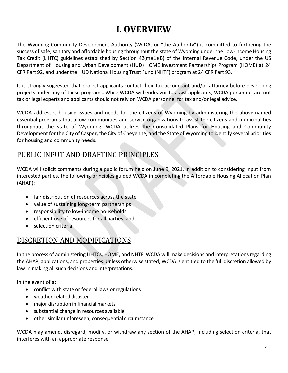## **I. OVERVIEW**

The Wyoming Community Development Authority (WCDA, or "the Authority") is committed to furthering the success of safe, sanitary and affordable housing throughout the state of Wyoming under the Low-Income Housing Tax Credit (LIHTC) guidelines established by Section 42(m)(1)(B) of the Internal Revenue Code, under the US Department of Housing and Urban Development (HUD) HOME Investment Partnerships Program (HOME) at 24 CFR Part 92, and under the HUD National Housing Trust Fund (NHTF) program at 24 CFR Part 93.

It is strongly suggested that project applicants contact their tax accountant and/or attorney before developing projects under any of these programs. While WCDA will endeavor to assist applicants, WCDA personnel are not tax or legal experts and applicants should not rely on WCDA personnel for tax and/or legal advice.

WCDA addresses housing issues and needs for the citizens of Wyoming by administering the above-named essential programs that allow communities and service organizations to assist the citizens and municipalities throughout the state of Wyoming. WCDA utilizes the Consolidated Plans for Housing and Community Development forthe City of Casper, the City of Cheyenne, and the State of Wyoming to identify several priorities for housing and community needs.

### PUBLIC INPUT AND DRAFTING PRINCIPLES

WCDA will solicit comments during a public forum held on June 9, 2021. In addition to considering input from interested parties, the following principles guided WCDA in completing the Affordable Housing Allocation Plan (AHAP):

- fair distribution of resources across the state
- value of sustaining long-term partnerships
- responsibility to low-income households
- efficient use of resources for all parties; and
- selection criteria

### DISCRETION AND MODIFICATIONS

In the process of administering LIHTCs, HOME, and NHTF, WCDA will make decisions and interpretationsregarding the AHAP, applications, and properties. Unless otherwise stated, WCDA is entitled to the full discretion allowed by law in making all such decisions and interpretations.

In the event of a:

- conflict with state or federal laws or regulations
- weather-related disaster
- major disruption in financial markets
- substantial change in resources available
- other similar unforeseen, consequential circumstance

WCDA may amend, disregard, modify, or withdraw any section of the AHAP, including selection criteria, that interferes with an appropriate response.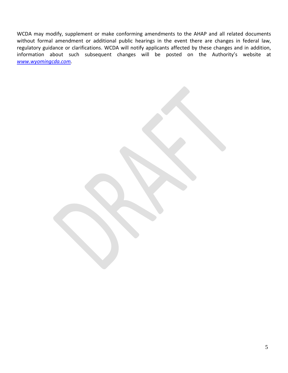WCDA may modify, supplement or make conforming amendments to the AHAP and all related documents without formal amendment or additional public hearings in the event there are changes in federal law, regulatory guidance or clarifications. WCDA will notify applicants affected by these changes and in addition, information about such subsequent changes will be posted on the Authority's website at *[www.wyomingcda.com.](http://www.wyomingcda.com/)*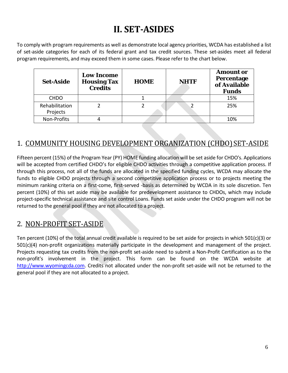## **II. SET-ASIDES**

To comply with program requirements as well as demonstrate local agency priorities, WCDA has established a list of set-aside categories for each of its federal grant and tax credit sources. These set-asides meet all federal program requirements, and may exceed them in some cases. Please refer to the chart below.

| <b>Set-Aside</b>           | <b>Low Income</b><br><b>Housing Tax</b><br><b>Credits</b> | <b>HOME</b> | <b>NHTF</b> | <b>Amount or</b><br>Percentage<br>of Available<br><b>Funds</b> |
|----------------------------|-----------------------------------------------------------|-------------|-------------|----------------------------------------------------------------|
| <b>CHDO</b>                |                                                           |             |             | 15%                                                            |
| Rehabilitation<br>Projects |                                                           |             |             | 25%                                                            |
| Non-Profits                |                                                           |             |             | 10%                                                            |

### 1. COMMUNITY HOUSING DEVELOPMENT ORGANIZATION (CHDO) SET-ASIDE

Fifteen percent (15%) of the Program Year (PY) HOME funding allocation will be set aside for CHDO's. Applications will be accepted from certified CHDO's for eligible CHDO activities through a competitive application process. If through this process, not all of the funds are allocated in the specified funding cycles, WCDA may allocate the funds to eligible CHDO projects through a second competitive application process or to projects meeting the minimum ranking criteria on a first-come, first-served -basis as determined by WCDA in its sole discretion. Ten percent (10%) of this set aside may be available for predevelopment assistance to CHDOs, which may include project-specific technical assistance and site control Loans. Funds set aside under the CHDO program will not be returned to the general pool if they are not allocated to a project.

### 2. NON-PROFIT SET-ASIDE

Ten percent (10%) of the total annual credit available is required to be set aside for projects in which 501(c)(3) or 501(c)(4) non-profit organizations materially participate in the development and management of the project. Projects requesting tax credits from the non-profit set-aside need to submit a Non-Profit Certification as to the non-profit's involvement in the project. This form can be found on the WCDA website at [http://www.wyomingcda.com.](http://www.wyomingcda.com/) Credits not allocated under the non-profit set-aside will not be returned to the general pool if they are not allocated to a project.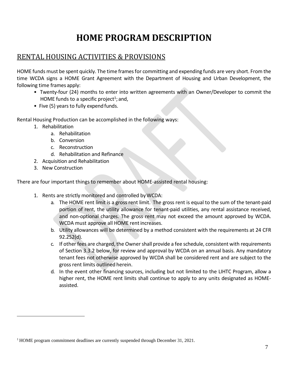## **HOME PROGRAM DESCRIPTION**

### RENTAL HOUSING ACTIVITIES & PROVISIONS

HOME funds must be spent quickly. The time frames for committing and expending funds are very short. From the time WCDA signs a HOME Grant Agreement with the Department of Housing and Urban Development, the following time frames apply:

- Twenty-four (24) months to enter into written agreements with an Owner/Developer to commit the HOME funds to a specific project<sup>1</sup>; and,
- Five (5) years to fully expend funds.

Rental Housing Production can be accomplished in the following ways:

- 1. Rehabilitation
	- a. Rehabilitation
	- b. Conversion
	- c. Reconstruction
	- d. Rehabilitation and Refinance
- 2. Acquisition and Rehabilitation
- 3. New Construction

There are four important things to remember about HOME-assisted rental housing:

- 1. Rents are strictly monitored and controlled byWCDA:
	- a. The HOME rent limit is a gross rent limit. The gross rent is equal to the sum of the tenant-paid portion of rent, the utility allowance for tenant-paid utilities, any rental assistance received, and non-optional charges. The gross rent may not exceed the amount approved by WCDA. WCDA must approve all HOME rentincreases.
	- b. Utility allowances will be determined by a method consistent with the requirements at 24 CFR 92.252(d).
	- c. If other fees are charged, the Owner shall provide a fee schedule, consistent with requirements of Section 3.3.2 below, for review and approval by WCDA on an annual basis. Any mandatory tenant fees not otherwise approved by WCDA shall be considered rent and are subject to the gross rent limits outlined herein.
	- d. In the event other financing sources, including but not limited to the LIHTC Program, allow a higher rent, the HOME rent limits shall continue to apply to any units designated as HOMEassisted.

<span id="page-6-0"></span> $1$  HOME program commitment deadlines are currently suspended through December 31, 2021.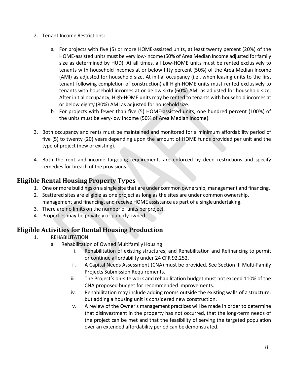- 2. Tenant Income Restrictions:
	- a. For projects with five (5) or more HOME-assisted units, at least twenty percent (20%) of the HOME-assisted units must be very low-income (50% of Area Median Income adjusted forfamily size as determined by HUD). At all times, all Low-HOME units must be rented exclusively to tenants with household incomes at or below fifty percent (50%) of the Area Median Income (AMI) as adjusted for household size. At initial occupancy (i.e., when leasing units to the first tenant following completion of construction) all High-HOME units must rented exclusively to tenants with household incomes at or below sixty (60%) AMI as adjusted for household size. After initial occupancy, High-HOME units may be rented to tenants with household incomes at or below eighty (80%) AMI as adjusted for householdsize.
	- b. For projects with fewer than five (5) HOME-assisted units, one hundred percent (100%) of the units must be very-low income (50% of Area Median Income).
- 3. Both occupancy and rents must be maintained and monitored for a minimum affordability period of five (5) to twenty (20) years depending upon the amount of HOME funds provided per unit and the type of project (new or existing).
- 4. Both the rent and income targeting requirements are enforced by deed restrictions and specify remedies for breach of the provisions.

### **Eligible Rental Housing Property Types**

- 1. One or more buildings on a single site that are under common ownership, management and financing.
- 2. Scattered sites are eligible as one project as long as the sites are under common ownership, management and financing, and receive HOME assistance as part of a singleundertaking.
- 3. There are no limits on the number of units perproject.
- 4. Properties may be privately or publicly owned.

### **Eligible Activities for Rental Housing Production**

- 1. REHABILITATION
	- a. Rehabilitation of Owned Multifamily Housing
		- i. Rehabilitation of existing structures; and Rehabilitation and Refinancing to permit or continue affordability under 24 CFR 92.252.
		- ii. A Capital Needs Assessment (CNA) must be provided. See Section III Multi-Family Projects Submission Requirements.
		- iii. The Project's on-site work and rehabilitation budget must not exceed 110% of the CNA proposed budget for recommended improvements.
		- iv. Rehabilitation may include adding rooms outside the existing walls of a structure, but adding a housing unit is considered new construction.
		- v. A review of the Owner's management practices will be made in order to determine that disinvestment in the property has not occurred, that the long-term needs of the project can be met and that the feasibility of serving the targeted population over an extended affordability period can be demonstrated.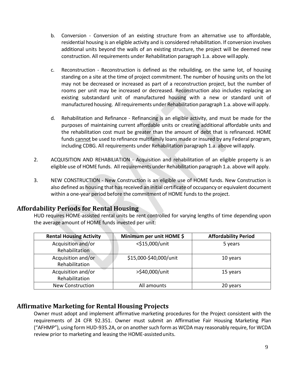- b. Conversion Conversion of an existing structure from an alternative use to affordable, residential housing is an eligible activity and is considered rehabilitation. If conversion involves additional units beyond the walls of an existing structure, the project will be deemed new construction. All requirements under Rehabilitation paragraph 1.a. above willapply.
- c. Reconstruction Reconstruction is defined as the rebuilding, on the same lot, of housing standing on a site at the time of project commitment. The number of housing units on the lot may not be decreased or increased as part of a reconstruction project, but the number of rooms per unit may be increased or decreased. Reconstruction also includes replacing an existing substandard unit of manufactured housing with a new or standard unit of manufactured housing. Allrequirements under Rehabilitation paragraph 1.a. above will apply.
- d. Rehabilitation and Refinance Refinancing is an eligible activity, and must be made for the purposes of maintaining current affordable units or creating additional affordable units and the rehabilitation cost must be greater than the amount of debt that is refinanced. HOME funds cannot be used to refinance multifamily loans made or insured by any Federal program, including CDBG. All requirements under Rehabilitation paragraph 1.a. above willapply.
- 2. ACQUISITION AND REHABILIATION Acquisition and rehabilitation of an eligible property is an eligible use of HOME funds. All requirements under Rehabilitation paragraph 1.a. above will apply.
- 3. NEW CONSTRUCTION New Construction is an eligible use of HOME funds. New Construction is also defined as housing that has received an initial certificate of occupancy or equivalent document within a one-year period before the commitment of HOME funds to the project.

### **Affordability Periods for Rental Housing**

HUD requires HOME-assisted rental units be rent controlled for varying lengths of time depending upon the average amount of HOME funds invested per unit:

| <b>Rental Housing Activity</b>       | Minimum per unit HOME \$ | <b>Affordability Period</b> |
|--------------------------------------|--------------------------|-----------------------------|
| Acquisition and/or<br>Rehabilitation | <\$15,000/unit           | 5 years                     |
| Acquisition and/or<br>Rehabilitation | \$15,000-\$40,000/unit   | 10 years                    |
| Acquisition and/or<br>Rehabilitation | >\$40,000/unit           | 15 years                    |
| <b>New Construction</b>              | All amounts              | 20 years                    |

#### **Affirmative Marketing for Rental Housing Projects**

Owner must adopt and implement affirmative marketing procedures for the Project consistent with the requirements of 24 CFR 92.351. Owner must submit an Affirmative Fair Housing Marketing Plan ("AFHMP"), using form HUD-935.2A, or on another such form as WCDA may reasonably require, for WCDA review prior to marketing and leasing the HOME-assistedunits.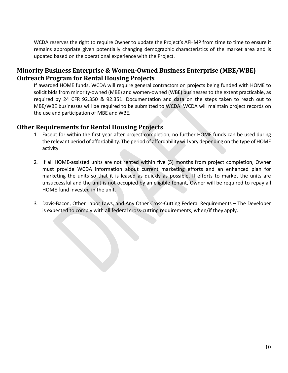WCDA reserves the right to require Owner to update the Project's AFHMP from time to time to ensure it remains appropriate given potentially changing demographic characteristics of the market area and is updated based on the operational experience with the Project.

### **Minority Business Enterprise & Women-Owned Business Enterprise (MBE/WBE) Outreach Program for Rental Housing Projects**

If awarded HOME funds, WCDA will require general contractors on projects being funded with HOME to solicit bids from minority-owned (MBE) and women-owned (WBE) businesses to the extent practicable, as required by 24 CFR 92.350 & 92.351. Documentation and data on the steps taken to reach out to MBE/WBE businesses will be required to be submitted to WCDA. WCDA will maintain project records on the use and participation of MBE andWBE.

#### **Other Requirements for Rental Housing Projects**

- 1. Except for within the first year after project completion, no further HOME funds can be used during the relevant period of affordability. The period of affordability will vary depending on the type of HOME activity.
- 2. If all HOME-assisted units are not rented within five (5) months from project completion, Owner must provide WCDA information about current marketing efforts and an enhanced plan for marketing the units so that it is leased as quickly as possible. If efforts to market the units are unsuccessful and the unit is not occupied by an eligible tenant, Owner will be required to repay all HOME fund invested in the unit.
- 3. Davis-Bacon, Other Labor Laws, and Any Other Cross-Cutting Federal Requirements The Developer is expected to comply with all federal cross-cutting requirements, when/if they apply.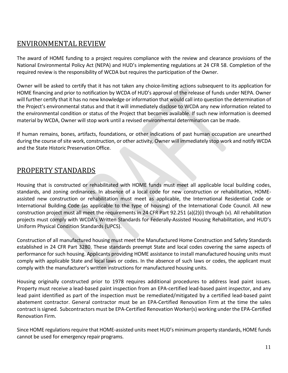### ENVIRONMENTAL REVIEW

The award of HOME funding to a project requires compliance with the review and clearance provisions of the National Environmental Policy Act (NEPA) and HUD's implementing regulations at 24 CFR 58. Completion of the required review is the responsibility of WCDA but requires the participation of the Owner.

Owner will be asked to certify that it has not taken any choice-limiting actions subsequent to its application for HOME financing and prior to notification by WCDA of HUD's approval of the release of funds under NEPA. Owner will further certify that it has no new knowledge or information that would call into question the determination of the Project's environmental status and that it will immediately disclose to WCDA any new information related to the environmental condition or status of the Project that becomes available. If such new information is deemed material by WCDA, Owner will stop work until a revised environmental determination can be made.

If human remains, bones, artifacts, foundations, or other indications of past human occupation are unearthed during the course of site work, construction, or other activity, Owner will immediately stop work and notify WCDA and the State Historic Preservation Office.

### PROPERTY STANDARDS

Housing that is constructed or rehabilitated with HOME funds must meet all applicable local building codes, standards, and zoning ordinances. In absence of a local code for new construction or rehabilitation, HOMEassisted new construction or rehabilitation must meet as applicable, the International Residential Code or International Building Code (as applicable to the type of housing) of the International Code Council. All new construction project must all meet the requirements in 24 CFR Part 92.251 (a)(2)(i) through (v). All rehabilitation projects must comply with WCDA's Written Standards for Federally-Assisted Housing Rehabilitation, and HUD's Uniform Physical Condition Standards (UPCS).

Construction of all manufactured housing must meet the Manufactured Home Construction and Safety Standards established in 24 CFR Part 3280. These standards preempt State and local codes covering the same aspects of performance for such housing. Applicants providing HOME assistance to install manufactured housing units must comply with applicable State and local laws or codes. In the absence of such laws or codes, the applicant must comply with the manufacturer's written instructions for manufactured housing units.

Housing originally constructed prior to 1978 requires additional procedures to address lead paint issues. Property must receive a lead-based paint inspection from an EPA-certified lead-based paint inspector, and any lead paint identified as part of the inspection must be remediated/mitigated by a certified lead-based paint abatement contractor. General contractor must be an EPA-Certified Renovation Firm at the time the sales contract issigned. Subcontractors must be EPA-Certified Renovation Worker(s) working under the EPA-Certified Renovation Firm.

Since HOME regulations require that HOME-assisted units meet HUD's minimum property standards, HOME funds cannot be used for emergency repair programs.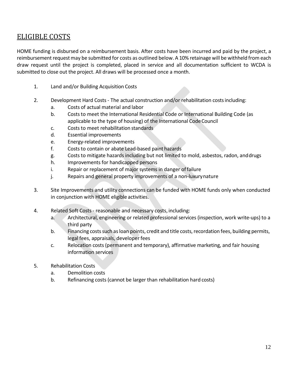### ELIGIBLE COSTS

HOME funding is disbursed on a reimbursement basis. After costs have been incurred and paid by the project, a reimbursement request may be submitted for costs as outlined below. A 10% retainage will be withheld from each draw request until the project is completed, placed in service and all documentation sufficient to WCDA is submitted to close out the project. All draws will be processed once a month.

- 1. Land and/or Building Acquisition Costs
- 2. Development Hard Costs The actual construction and/or rehabilitation costs including:
	- a. Costs of actual material and labor
	- b. Costs to meet the International Residential Code or International Building Code (as applicable to the type of housing) of the International CodeCouncil
	- c. Costs to meet rehabilitation standards
	- d. Essential improvements
	- e. Energy-related improvements
	- f. Costs to contain or abate Lead-based paint hazards
	- g. Costs to mitigate hazards including but not limited to mold, asbestos, radon, anddrugs
	- h. Improvements for handicapped persons
	- i. Repair or replacement of major systems in danger offailure
	- j. Repairs and general property improvements of a non-luxurynature
- 3. Site Improvements and utility connections can be funded with HOME funds only when conducted in conjunction with HOME eligible activities.
- 4. Related Soft Costs reasonable and necessary costs, including:
	- a. Architectural, engineering or related professional services (inspection, work write-ups) to a third party
	- b. Financing costs such as loan points, credit and title costs, recordation fees, building permits, legal fees, appraisals, developerfees
	- c. Relocation costs (permanent and temporary), affirmative marketing, and fair housing information services
- 5. Rehabilitation Costs
	- a. Demolition costs
	- b. Refinancing costs (cannot be larger than rehabilitation hard costs)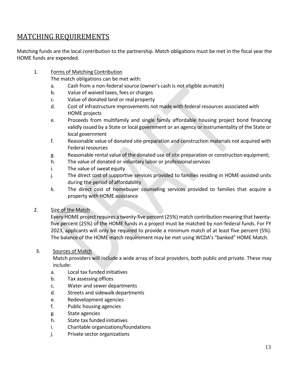### MATCHING REQUIREMENTS

Matching funds are the local contribution to the partnership. Match obligations must be met in the fiscal year the HOME funds are expended.

1. Forms of Matching Contribution

The match obligations can be met with:

- a. Cash from a non-federal source (owner's cash is not eligible asmatch)
- b. Value of waived taxes, fees or charges
- c. Value of donated land or realproperty
- d. Cost of infrastructure improvements not made with federal resources associated with HOME projects
- e. Proceeds from multifamily and single family affordable housing project bond financing validly issued by a State or local government or an agency or instrumentality of the State or local government
- f. Reasonable value of donated site-preparation and construction materials not acquired with Federal resources
- g. Reasonable rental value of the donated use of site preparation or construction equipment;
- h. The value of donated or voluntary labor or professionalservices
- i. The value of sweat equity
- j. The direct cost of supportive services provided to families residing in HOME-assisted units during the period of affordability
- k. The direct cost of homebuyer counseling services provided to families that acquire a property with HOME assistance

#### 2. Size of the Match

Every HOME project requires a twenty-five percent(25%) match contribution meaning that twentyfive percent (25%) of the HOME funds in a project must be matched by non-federal funds. For FY 2023, applicants will only be required to provide a minimum match of at least five percent (5%). The balance of the HOME match requirement may be met using WCDA's "banked" HOME Match.

#### 3. Sources of Match

Match providers will include a wide array of local providers, both public and private. These may include:

- a. Local tax funded initiatives
- b. Tax assessing offices
- c. Water and sewer departments
- d. Streets and sidewalk departments
- e. Redevelopment agencies
- f. Public housing agencies
- g. State agencies
- h. State tax funded initiatives
- i. Charitable organizations/foundations
- j. Private sector organizations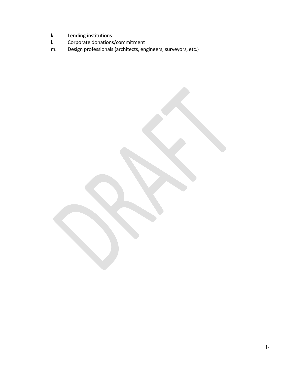- k. Lending institutions<br>I. Corporate donations
- l. Corporate donations/commitment
- m. Design professionals (architects, engineers, surveyors, etc.)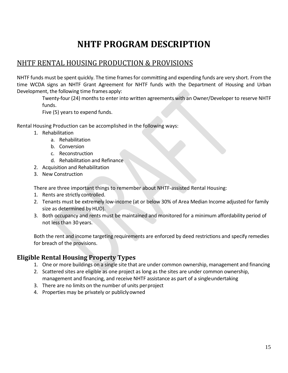## **NHTF PROGRAM DESCRIPTION**

### NHTF RENTAL HOUSING PRODUCTION & PROVISIONS

NHTF funds must be spent quickly. The time frames for committing and expending funds are very short. From the time WCDA signs an NHTF Grant Agreement for NHTF funds with the Department of Housing and Urban Development, the following time frames apply:

Twenty-four (24) months to enter into written agreements with an Owner/Developer to reserve NHTF funds.

Five (5) years to expend funds.

Rental Housing Production can be accomplished in the following ways:

- 1. Rehabilitation
	- a. Rehabilitation
	- b. Conversion
	- c. Reconstruction
	- d. Rehabilitation and Refinance
- 2. Acquisition and Rehabilitation
- 3. New Construction

There are three important things to remember about NHTF-assisted Rental Housing:

- 1. Rents are strictly controlled.
- 2. Tenants must be extremely low-income (at or below 30% of Area Median Income adjusted for family size as determined byHUD).
- 3. Both occupancy and rents must be maintained and monitored for a minimum affordability period of not less than 30 years.

Both the rent and income targeting requirements are enforced by deed restrictions and specify remedies for breach of the provisions.

#### **Eligible Rental Housing Property Types**

- 1. One or more buildings on a single site that are under common ownership, management and financing
- 2. Scattered sites are eligible as one project as long as the sites are under common ownership, management and financing, and receive NHTF assistance as part of a singleundertaking
- 3. There are no limits on the number of units perproject
- 4. Properties may be privately or publicly owned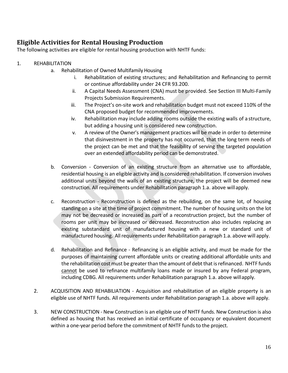### **Eligible Activities for Rental Housing Production**

The following activities are eligible for rental housing production with NHTF funds:

- 1. REHABILITATION
	- a. Rehabilitation of Owned Multifamily Housing
		- i. Rehabilitation of existing structures; and Rehabilitation and Refinancing to permit or continue affordability under 24 CFR 93.200.
		- ii. A Capital Needs Assessment (CNA) must be provided. See Section III Multi-Family Projects Submission Requirements.
		- iii. The Project's on-site work and rehabilitation budget must not exceed 110% of the CNA proposed budget for recommended improvements.
		- iv. Rehabilitation may include adding rooms outside the existing walls of a structure, but adding a housing unit is considered new construction.
		- v. A review of the Owner's management practices will be made in order to determine that disinvestment in the property has not occurred, that the long term needs of the project can be met and that the feasibility of serving the targeted population over an extended affordability period can be demonstrated.
	- b. Conversion Conversion of an existing structure from an alternative use to affordable, residential housing is an eligible activity and is considered rehabilitation. If conversion involves additional units beyond the walls of an existing structure, the project will be deemed new construction. All requirements under Rehabilitation paragraph 1.a. above willapply.
	- c. Reconstruction Reconstruction is defined as the rebuilding, on the same lot, of housing standing on a site at the time of project commitment. The number of housing units on the lot may not be decreased or increased as part of a reconstruction project, but the number of rooms per unit may be increased or decreased. Reconstruction also includes replacing an existing substandard unit of manufactured housing with a new or standard unit of manufactured housing. Allrequirements under Rehabilitation paragraph 1.a. above will apply.
	- d. Rehabilitation and Refinance Refinancing is an eligible activity, and must be made for the purposes of maintaining current affordable units or creating additional affordable units and the rehabilitation cost must be greater than the amount of debt that is refinanced. NHTF funds cannot be used to refinance multifamily loans made or insured by any Federal program, including CDBG. All requirements under Rehabilitation paragraph 1.a. above willapply.
	- 2. ACQUISITION AND REHABILIATION Acquisition and rehabilitation of an eligible property is an eligible use of NHTF funds. All requirements under Rehabilitation paragraph 1.a. above will apply.
	- 3. NEW CONSTRUCTION New Construction is an eligible use of NHTF funds. New Construction is also defined as housing that has received an initial certificate of occupancy or equivalent document within a one-year period before the commitment of NHTF funds to the project.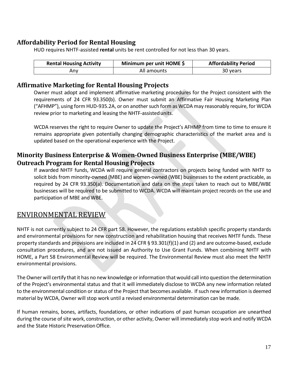### **Affordability Period for Rental Housing**

HUD requires NHTF-assisted **rental** units be rent controlled for not less than 30 years.

| <b>Rental Housing Activity</b> | Minimum per unit HOME \$ | <b>Affordability Period</b> |
|--------------------------------|--------------------------|-----------------------------|
| Any                            | All amounts              | 30 years                    |

#### **Affirmative Marketing for Rental Housing Projects**

Owner must adopt and implement affirmative marketing procedures for the Project consistent with the requirements of 24 CFR 93.350(b). Owner must submit an Affirmative Fair Housing Marketing Plan ("AFHMP"), using form HUD-935.2A, or on another such form as WCDA may reasonably require, for WCDA review prior to marketing and leasing the NHTF-assistedunits.

WCDA reserves the right to require Owner to update the Project's AFHMP from time to time to ensure it remains appropriate given potentially changing demographic characteristics of the market area and is updated based on the operational experience with the Project.

#### **Minority Business Enterprise & Women-Owned Business Enterprise (MBE/WBE) Outreach Program for Rental Housing Projects**

If awarded NHTF funds, WCDA will require general contractors on projects being funded with NHTF to solicit bids from minority-owned (MBE) and women-owned (WBE) businesses to the extent practicable, as required by 24 CFR 93.350(a). Documentation and data on the steps taken to reach out to MBE/WBE businesses will be required to be submitted to WCDA. WCDA will maintain project records on the use and participation of MBE and WBE.

### ENVIRONMENTAL REVIEW

NHTF is not currently subject to 24 CFR part 58. However, the regulations establish specific property standards and environmental provisions for new construction and rehabilitation housing that receives NHTF funds. These property standards and provisions are included in 24 CFR § 93.301(f)(1) and (2) and are outcome-based, exclude consultation procedures, and are not issued an Authority to Use Grant Funds. When combining NHTF with HOME, a Part 58 Environmental Review will be required. The Environmental Review must also meet the NHTF environmental provisions.

The Owner will certify that it has no new knowledge or information that would call into question the determination of the Project's environmental status and that it will immediately disclose to WCDA any new information related to the environmental condition or status of the Project that becomes available. If such new information is deemed material by WCDA, Owner will stop work until a revised environmental determination can be made.

If human remains, bones, artifacts, foundations, or other indications of past human occupation are unearthed during the course of site work, construction, or other activity, Owner will immediately stop work and notify WCDA and the State Historic Preservation Office.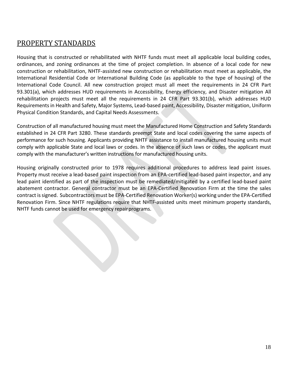### PROPERTY STANDARDS

Housing that is constructed or rehabilitated with NHTF funds must meet all applicable local building codes, ordinances, and zoning ordinances at the time of project completion. In absence of a local code for new construction or rehabilitation, NHTF-assisted new construction or rehabilitation must meet as applicable, the International Residential Code or International Building Code (as applicable to the type of housing) of the International Code Council. All new construction project must all meet the requirements in 24 CFR Part 93.301(a), which addresses HUD requirements in Accessibility, Energy efficiency, and Disaster mitigation All rehabilitation projects must meet all the requirements in 24 CFR Part 93.301(b), which addresses HUD Requirements in Health and Safety, Major Systems, Lead-based paint, Accessibility, Disaster mitigation, Uniform Physical Condition Standards, and Capital Needs Assessments.

Construction of all manufactured housing must meet the Manufactured Home Construction and Safety Standards established in 24 CFR Part 3280. These standards preempt State and local codes covering the same aspects of performance for such housing. Applicants providing NHTF assistance to install manufactured housing units must comply with applicable State and local laws or codes. In the absence of such laws or codes, the applicant must comply with the manufacturer's written instructions for manufactured housing units.

Housing originally constructed prior to 1978 requires additional procedures to address lead paint issues. Property must receive a lead-based paint inspection from an EPA-certified lead-based paint inspector, and any lead paint identified as part of the inspection must be remediated/mitigated by a certified lead-based paint abatement contractor. General contractor must be an EPA-Certified Renovation Firm at the time the sales contract issigned. Subcontractors must be EPA-Certified Renovation Worker(s) working under the EPA-Certified Renovation Firm. Since NHTF regulations require that NHTF-assisted units meet minimum property standards, NHTF funds cannot be used for emergency repair programs.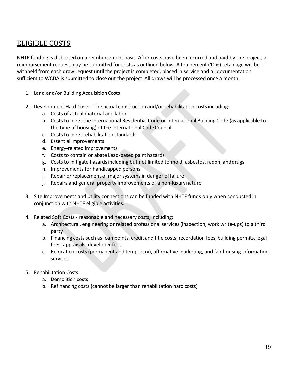### ELIGIBLE COSTS

NHTF funding is disbursed on a reimbursement basis. After costs have been incurred and paid by the project, a reimbursement request may be submitted for costs as outlined below. A ten percent (10%) retainage will be withheld from each draw request until the project is completed, placed in service and all documentation sufficient to WCDA is submitted to close out the project. All draws will be processed once a month.

- 1. Land and/or Building Acquisition Costs
- 2. Development Hard Costs The actual construction and/or rehabilitation costsincluding:
	- a. Costs of actual material and labor
	- b. Costs to meet the International Residential Code or International Building Code (as applicable to the type of housing) of the International CodeCouncil
	- c. Costs to meet rehabilitation standards
	- d. Essential improvements
	- e. Energy-related improvements
	- f. Costs to contain or abate Lead-based paint hazards
	- g. Costs to mitigate hazards including but not limited to mold, asbestos, radon, anddrugs
	- h. Improvements for handicapped persons
	- i. Repair or replacement of major systems in danger offailure
	- j. Repairs and general property improvements of a non-luxurynature
- 3. Site Improvements and utility connections can be funded with NHTF funds only when conducted in conjunction with NHTF eligible activities.
- 4. Related Soft Costs reasonable and necessary costs, including:
	- a. Architectural, engineering or related professional services (inspection, work write-ups) to a third party
	- b. Financing costs such as loan points, credit and title costs, recordation fees, building permits, legal fees, appraisals, developer fees
	- c. Relocation costs (permanent and temporary), affirmative marketing, and fair housing information services
- 5. Rehabilitation Costs
	- a. Demolition costs
	- b. Refinancing costs (cannot be larger than rehabilitation hard costs)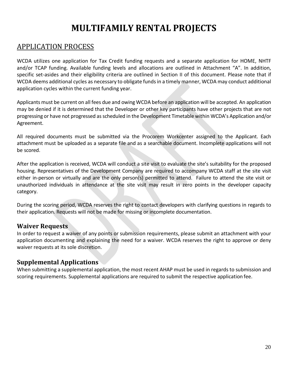## **MULTIFAMILY RENTAL PROJECTS**

### APPLICATION PROCESS

WCDA utilizes one application for Tax Credit funding requests and a separate application for HOME, NHTF and/or TCAP funding. Available funding levels and allocations are outlined in Attachment "A". In addition, specific set-asides and their eligibility criteria are outlined in Section II of this document. Please note that if WCDA deems additional cycles as necessary to obligate fundsin a timely manner, WCDA may conduct additional application cycles within the current funding year.

Applicants must be current on all fees due and owing WCDA before an application will be accepted. An application may be denied if it is determined that the Developer or other key participants have other projects that are not progressing or have not progressed as scheduled in the Development Timetable within WCDA's Application and/or Agreement.

All required documents must be submitted via the Procorem Workcenter assigned to the Applicant. Each attachment must be uploaded as a separate file and as a searchable document. Incomplete applications will not be scored.

After the application is received, WCDA will conduct a site visit to evaluate the site's suitability for the proposed housing. Representatives of the Development Company are required to accompany WCDA staff at the site visit either in-person or virtually and are the only person(s) permitted to attend. Failure to attend the site visit or unauthorized individuals in attendance at the site visit may result in zero points in the developer capacity category.

During the scoring period, WCDA reserves the right to contact developers with clarifying questions in regards to their application. Requests will not be made for missing or incomplete documentation.

### **Waiver Requests**

In order to request a waiver of any points or submission requirements, please submit an attachment with your application documenting and explaining the need for a waiver. WCDA reserves the right to approve or deny waiver requests at its sole discretion.

### **Supplemental Applications**

When submitting a supplemental application, the most recent AHAP must be used in regards to submission and scoring requirements. Supplemental applications are required to submit the respective application fee.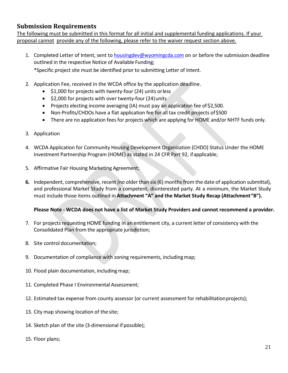#### **Submission Requirements**

The following must be submitted in this format for all initial and supplemental funding applications. If your proposal cannot provide any of the following, please refer to the waiver request section above.

1. Completed Letter of Intent, sent to [housingdev@wyomingcda.com](mailto:housingdev@wyomingcda.com) on or before the submission deadline outlined in the respective Notice of Available Funding;

\*Specific project site must be identified prior to submitting Letter of Intent.

- 2. Application Fee, received in the WCDA office by the application deadline.
	- \$1,000 for projects with twenty-four (24) units orless
	- \$2,000 for projects with over twenty-four (24)units
	- Projects electing income averaging (IA) must pay an application fee of \$2,500.
	- Non-Profits/CHDOs have a flat application fee for all tax credit projects of \$500
	- There are no application fees for projects which are applying for HOME and/or NHTF funds only.
- 3. Application
- 4. WCDA Application for Community Housing Development Organization (CHDO) Status Under the HOME Investment Partnership Program (HOME) as stated in 24 CFR Part 92, ifapplicable;
- 5. Affirmative Fair Housing Marketing Agreement;
- **6.** Independent, comprehensive, recent (no older than six (6) months from the date of application submittal), and professional Market Study from a competent, disinterested party. At a minimum, the Market Study must include those items outlined in **Attachment "A" and the Market Study Recap (Attachment"B").**

#### **Please Note - WCDA does not have a list of Market Study Providers and cannot recommend a provider.**

- 7. For projects requesting HOME funding in an entitlement city, a current letter of consistency with the Consolidated Plan from the appropriate jurisdiction;
- 8. Site control documentation;
- 9. Documentation of compliance with zoning requirements, includingmap;
- 10. Flood plain documentation, including map;
- 11. Completed Phase I Environmental Assessment;
- 12. Estimated tax expense from county assessor (or current assessment for rehabilitationprojects);
- 13. City map showing location of the site;
- 14. Sketch plan of the site (3-dimensional if possible);
- 15. Floor plans;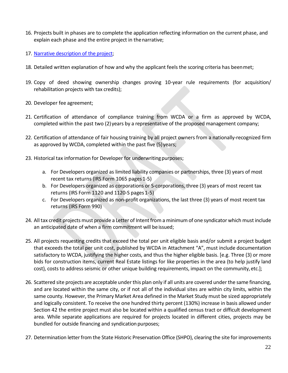- 16. Projects built in phases are to complete the application reflecting information on the current phase, and explain each phase and the entire project in thenarrative;
- 17. Narrative description of the project;
- 18. Detailed written explanation of how and why the applicant feels the scoring criteria has beenmet;
- 19. Copy of deed showing ownership changes proving 10-year rule requirements (for acquisition/ rehabilitation projects with tax credits);
- 20. Developer fee agreement;
- 21. Certification of attendance of compliance training from WCDA or a firm as approved by WCDA, completed within the past two (2) years by a representative of the proposed management company;
- 22. Certification of attendance of fair housing training by all project owners from a nationally-recognized firm as approved by WCDA, completed within the past five (5)years;
- 23. Historical tax information for Developer for underwriting purposes;
	- a. For Developers organized as limited liability companies or partnerships, three (3) years of most recent tax returns (IRS Form 1065 pages 1-5)
	- b. For Developers organized as corporations or S-corporations, three (3) years of most recent tax returns (IRS Form 1120 and 1120-S pages 1-5)
	- c. For Developers organized as non-profit organizations, the last three (3) years of most recent tax returns (IRS Form 990)
- 24. All tax credit projects must provide a Letter of Intent from a minimum of one syndicator which must include an anticipated date of when a firm commitment will be issued;
- 25. All projects requesting credits that exceed the total per unit eligible basis and/or submit a project budget that exceeds the total per unit cost, published by WCDA in Attachment "A", must include documentation satisfactory to WCDA, justifying the higher costs, and thus the higher eligible basis. [e.g. Three (3) or more bids for construction items, current Real Estate listings for like properties in the area (to help justify land cost), costs to address seismic or other unique building requirements, impact on the community, etc.];
- 26. Scattered site projects are acceptable under this plan only if all units are covered under the same financing, and are located within the same city, or if not all of the individual sites are within city limits, within the same county. However, the Primary Market Area defined in the Market Study must be sized appropriately and logically consistent. To receive the one hundred thirty percent (130%) increase in basis allowed under Section 42 the entire project must also be located within a qualified census tract or difficult development area. While separate applications are required for projects located in different cities, projects may be bundled for outside financing and syndication purposes;
- 27. Determination letter from the State Historic Preservation Office (SHPO), clearing the site for improvements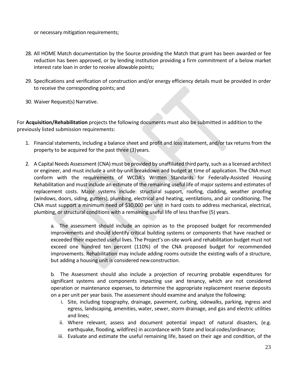or necessary mitigation requirements;

- 28. All HOME Match documentation by the Source providing the Match that grant has been awarded or fee reduction has been approved, or by lending institution providing a firm commitment of a below market interest rate loan in order to receive allowable points;
- 29. Specifications and verification of construction and/or energy efficiency details must be provided in order to receive the corresponding points; and
- 30. Waiver Request(s) Narrative.

For **Acquisition/Rehabilitation** projects the following documents must also be submitted in addition to the previously listed submission requirements:

- 1. Financial statements, including a balance sheet and profit and loss statement, and/or tax returns from the property to be acquired for the past three (3)years.
- 2. A Capital Needs Assessment (CNA) must be provided by unaffiliated third party, such as a licensed architect or engineer, and must include a unit-by-unit breakdown and budget at time of application. The CNA must conform with the requirements of WCDA's Written Standards for Federally-Assisted Housing Rehabilitation and must include an estimate of the remaining useful life of major systems and estimates of replacement costs. Major systems include: structural support, roofing, cladding, weather proofing (windows, doors, siding, gutters), plumbing, electrical and heating, ventilations, and air conditioning. The CNA must support a minimum need of \$30,000 per unit in hard costs to address mechanical, electrical, plumbing, or structural conditions with a remaining useful life of less thanfive (5) years.

a. The assessment should include an opinion as to the proposed budget for recommended improvements and should identify critical building systems or components that have reached or exceeded their expected useful lives. The Project's on-site work and rehabilitation budget must not exceed one hundred ten percent (110%) of the CNA proposed budget for recommended improvements. Rehabilitation may include adding rooms outside the existing walls of a structure, but adding a housing unit is considered newconstruction.

b. The Assessment should also include a projection of recurring probable expenditures for significant systems and components impacting use and tenancy, which are not considered operation or maintenance expenses, to determine the appropriate replacement reserve deposits on a per unit per year basis. The assessment should examine and analyze the following:

- i. Site, including topography, drainage, pavement, curbing, sidewalks, parking, ingress and egress, landscaping, amenities, water, sewer, storm drainage, and gas and electric utilities and lines;
- ii. Where relevant, assess and document potential impact of natural disasters, (e.g. earthquake, flooding, wildfires) in accordance with State and local codes/ordinance;
- iii. Evaluate and estimate the useful remaining life, based on their age and condition, of the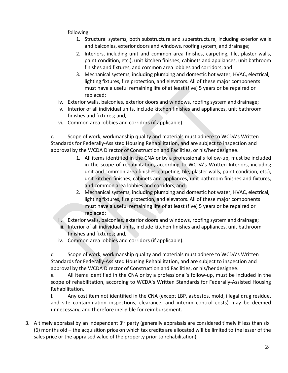following:

- 1. Structural systems, both substructure and superstructure, including exterior walls and balconies, exterior doors and windows, roofing system, and drainage;
- 2. Interiors, including unit and common area finishes, carpeting, tile, plaster walls, paint condition, etc.), unit kitchen finishes, cabinets and appliances, unit bathroom finishes and fixtures, and common area lobbies and corridors; and
- 3. Mechanical systems, including plumbing and domestic hot water, HVAC, electrical, lighting fixtures, fire protection, and elevators. All of these major components must have a useful remaining life of at least (five) 5 years or be repaired or replaced;
- iv. Exterior walls, balconies, exterior doors and windows, roofing system and drainage;
- v. Interior of all individual units, include kitchen finishes and appliances, unit bathroom finishes and fixtures; and,
- vi. Common area lobbies and corridors (if applicable).

c. Scope of work, workmanship quality and materials must adhere to WCDA's Written Standards for Federally-Assisted Housing Rehabilitation, and are subject to inspection and approval by the WCDA Director of Construction and Facilities, or his/her designee.

- 1. All items identified in the CNA or by a professional's follow-up, must be included in the scope of rehabilitation, according to WCDA's Written Interiors, including unit and common area finishes, carpeting, tile, plaster walls, paint condition, etc.), unit kitchen finishes, cabinets and appliances, unit bathroom finishes and fixtures, and common area lobbies and corridors; and
- 2. Mechanical systems, including plumbing and domestic hot water, HVAC, electrical, lighting fixtures, fire protection, and elevators. All of these major components must have a useful remaining life of at least (five) 5 years or be repaired or replaced;
- ii. Exterior walls, balconies, exterior doors and windows, roofing system and drainage;
- iii. Interior of all individual units, include kitchen finishes and appliances, unit bathroom finishes and fixtures; and,
- iv. Common area lobbies and corridors (if applicable).

d. Scope of work, workmanship quality and materials must adhere to WCDA's Written Standards for Federally-Assisted Housing Rehabilitation, and are subject to inspection and approval by the WCDA Director of Construction and Facilities, or his/her designee.

e. All items identified in the CNA or by a professional's follow-up, must be included in the scope of rehabilitation, according to WCDA's Written Standards for Federally-Assisted Housing Rehabilitation.

f. Any cost item not identified in the CNA (except LBP, asbestos, mold, illegal drug residue, and site contamination inspections, clearance, and interim control costs) may be deemed unnecessary, and therefore ineligible for reimbursement.

3. A timely appraisal by an independent 3<sup>rd</sup> party (generally appraisals are considered timely if less than six (6) months old – the acquisition price on which tax credits are allocated will be limited to the lesser of the sales price or the appraised value of the property prior to rehabilitation);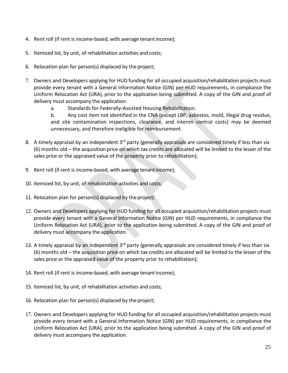- 4. Rent roll (if rent is income-based, with average tenantincome);
- 5. Itemized list, by unit, of rehabilitation activities and costs;
- 6. Relocation plan for person(s) displaced by the project;
- 7. Owners and Developers applying for HUD funding for all occupied acquisition/rehabilitation projects must provide every tenant with a General Information Notice (GIN) per HUD requirements, in compliance the Uniform Relocation Act (URA), prior to the application being submitted. A copy of the GIN and proof of delivery must accompany the application.
	- a. Standards for Federally-Assisted Housing Rehabilitation.

b. Any cost item not identified in the CNA (except LBP, asbestos, mold, illegal drug residue, and site contamination inspections, clearance, and interim control costs) may be deemed unnecessary, and therefore ineligible for reimbursement.

- 8. A timely appraisal by an independent 3<sup>rd</sup> party (generally appraisals are considered timely if less than six (6) months old – the acquisition price on which tax credits are allocated will be limited to the lesser of the sales price or the appraised value of the property prior to rehabilitation);
- 9. Rent roll (if rent is income-based, with average tenantincome);
- 10. Itemized list, by unit, of rehabilitation activities and costs;
- 11. Relocation plan for person(s) displaced by the project;
- 12. Owners and Developers applying for HUD funding for all occupied acquisition/rehabilitation projects must provide every tenant with a General Information Notice (GIN) per HUD requirements, in compliance the Uniform Relocation Act (URA), prior to the application being submitted. A copy of the GIN and proof of delivery must accompany the application.
- 13. A timely appraisal by an independent 3<sup>rd</sup> party (generally appraisals are considered timely if less than six (6) months old – the acquisition price on which tax credits are allocated will be limited to the lesser of the sales price or the appraised value of the property prior to rehabilitation);
- 14. Rent roll (if rent is income-based, with average tenant income);
- 15. Itemized list, by unit, of rehabilitation activities and costs;
- 16. Relocation plan for person(s) displaced by the project;
- 17. Owners and Developers applying for HUD funding for all occupied acquisition/rehabilitation projects must provide every tenant with a General Information Notice (GIN) per HUD requirements, in compliance the Uniform Relocation Act (URA), prior to the application being submitted. A copy of the GIN and proof of delivery must accompany the application.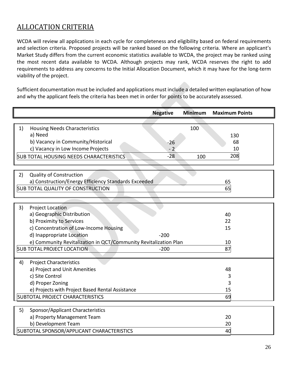### ALLOCATION CRITERIA

WCDA will review all applications in each cycle for completeness and eligibility based on federal requirements and selection criteria. Proposed projects will be ranked based on the following criteria. Where an applicant's Market Study differs from the current economic statistics available to WCDA, the project may be ranked using the most recent data available to WCDA. Although projects may rank, WCDA reserves the right to add requirements to address any concerns to the Initial Allocation Document, which it may have for the long-term viability of the project.

Sufficient documentation must be included and applications must include a detailed written explanation of how and why the applicant feels the criteria has been met in order for points to be accurately assessed.

|                                                                  | <b>Negative</b> | <b>Minimum</b> | <b>Maximum Points</b> |
|------------------------------------------------------------------|-----------------|----------------|-----------------------|
|                                                                  |                 |                |                       |
| 1)<br><b>Housing Needs Characteristics</b>                       |                 | 100            |                       |
| a) Need                                                          |                 |                | 130                   |
| b) Vacancy in Community/Historical                               | $-26$           |                | 68                    |
| c) Vacancy in Low Income Projects                                | $-2$            |                | 10                    |
| <b>SUB TOTAL HOUSING NEEDS CHARACTERISTICS</b>                   | $-28$           | 100            | 208                   |
|                                                                  |                 |                |                       |
| <b>Quality of Construction</b><br>2)                             |                 |                |                       |
| a) Construction/Energy Efficiency Standards Exceeded             |                 |                | 65                    |
| <b>SUB TOTAL QUALITY OF CONSTRUCTION</b>                         |                 |                | 65                    |
|                                                                  |                 |                |                       |
| 3)<br>Project Location                                           |                 |                |                       |
| a) Geographic Distribution                                       |                 |                | 40                    |
| b) Proximity to Services                                         |                 |                | 22                    |
| c) Concentration of Low-Income Housing                           |                 |                | 15                    |
| d) Inappropriate Location                                        | $-200$          |                |                       |
| e) Community Revitalization in QCT/Community Revitalization Plan |                 |                | 10                    |
| <b>SUB TOTAL PROJECT LOCATION</b>                                | $-200$          |                | 87                    |
|                                                                  |                 |                |                       |
| <b>Project Characteristics</b><br>4)                             |                 |                |                       |
| a) Project and Unit Amenities                                    |                 |                | 48                    |
| c) Site Control                                                  |                 |                | 3                     |
| d) Proper Zoning                                                 |                 |                | 3                     |
| e) Projects with Project Based Rental Assistance                 |                 |                | 15                    |
| SUBTOTAL PROJECT CHARACTERISTICS                                 |                 |                | 69                    |
| Sponsor/Applicant Characteristics<br>5)                          |                 |                |                       |
| a) Property Management Team                                      |                 |                | 20                    |
| b) Development Team                                              |                 |                | 20                    |
| SUBTOTAL SPONSOR/APPLICANT CHARACTERISTICS                       |                 |                | 40                    |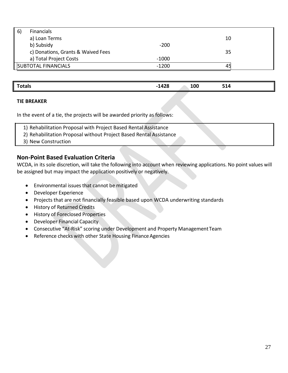| 6) | Financials                         |         |    |  |
|----|------------------------------------|---------|----|--|
|    | a) Loan Terms                      |         | 10 |  |
|    | b) Subsidy                         | $-200$  |    |  |
|    | c) Donations, Grants & Waived Fees |         | 35 |  |
|    | a) Total Project Costs             | $-1000$ |    |  |
|    | <b>SUBTOTAL FINANCIALS</b>         | -1200   |    |  |

| 120<br><b>Totaly</b> |     |                   |
|----------------------|-----|-------------------|
| ---<br>______        | 100 | ---<br><b>PTC</b> |

#### **TIE BREAKER**

In the event of a tie, the projects will be awarded priority as follows:

- 1) Rehabilitation Proposal with Project Based Rental Assistance
- 2) Rehabilitation Proposal without Project Based Rental Assistance
- 3) New Construction

#### **Non-Point Based Evaluation Criteria**

WCDA, in its sole discretion, will take the following into account when reviewing applications. No point values will be assigned but may impact the application positively or negatively.

- Environmental issues that cannot be mitigated
- Developer Experience
- Projects that are not financially feasible based upon WCDA underwriting standards
- History of Returned Credits
- History of Foreclosed Properties
- Developer Financial Capacity
- Consecutive "At-Risk" scoring under Development and Property ManagementTeam
- Reference checks with other State Housing Finance Agencies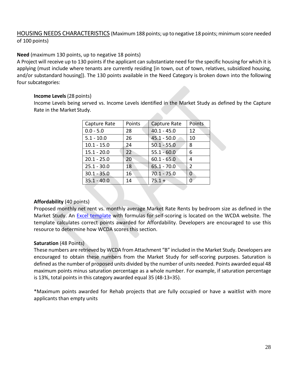HOUSING NEEDS CHARACTERISTICS (Maximum 188 points; up to negative 18 points; minimum score needed of 100 points)

#### **Need** (maximum 130 points, up to negative 18 points)

A Project will receive up to 130 points if the applicant can substantiate need for the specific housing for which it is applying (must include where tenants are currently residing [in town, out of town, relatives, subsidized housing, and/or substandard housing]). The 130 points available in the Need Category is broken down into the following four subcategories:

#### **Income Levels** (28 points)

Income Levels being served vs. Income Levels identified in the Market Study as defined by the Capture Rate in the Market Study.

| Capture Rate  | Points | Capture Rate  | <b>Points</b> |
|---------------|--------|---------------|---------------|
| $0.0 - 5.0$   | 28     | $40.1 - 45.0$ | 12            |
| $5.1 - 10.0$  | 26     | $45.1 - 50.0$ | 10            |
| $10.1 - 15.0$ | 24     | $50.1 - 55.0$ | 8             |
| $15.1 - 20.0$ | 22     | $55.1 - 60.0$ | 6             |
| $20.1 - 25.0$ | 20     | $60.1 - 65.0$ | 4             |
| $25.1 - 30.0$ | 18     | $65.1 - 70.0$ | $\mathcal{P}$ |
| $30.1 - 35.0$ | 16     | $70.1 - 75.0$ | 0             |
| $35.1 - 40.0$ | 14     | $75.1 +$      |               |
|               |        |               |               |

#### **Affordability** (40 points)

Proposed monthly net rent vs. monthly average Market Rate Rents by bedroom size as defined in the Market Study. An Excel template with formulas for self-scoring is located on the WCDA website. The template calculates correct points awarded for Affordability. Developers are encouraged to use this resource to determine how WCDA scores this section.

#### **Saturation** (48 Points)

These numbers are retrieved by WCDA from Attachment "B" included in the Market Study. Developers are encouraged to obtain these numbers from the Market Study for self-scoring purposes. Saturation is defined as the number of proposed units divided by the number of units needed. Points awarded equal 48 maximum points minus saturation percentage as a whole number. For example, if saturation percentage is 13%, total points in this category awarded equal 35 (48-13=35).

\*Maximum points awarded for Rehab projects that are fully occupied or have a waitlist with more applicants than empty units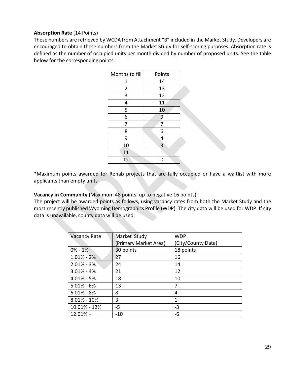#### **Absorption Rate** (14 Points)

These numbers are retrieved by WCDA from Attachment "B" included in the Market Study. Developers are encouraged to obtain these numbers from the Market Study for self-scoring purposes. Absorption rate is defined as the number of occupied units per month divided by number of proposed units. See the table below for the corresponding points.

| Months to fill | Points                  |
|----------------|-------------------------|
| 1              | 14                      |
| $\overline{2}$ | 13                      |
| 3              | 12                      |
| 4              | 11                      |
| 5              | 10                      |
| 6              | 9                       |
| 7              | 7                       |
| 8              | 6                       |
| 9              | 4                       |
| 10             | $\overline{\mathbf{3}}$ |
| 11             | $\overline{1}$          |
| 12             | 0                       |

\*Maximum points awarded for Rehab projects that are fully occupied or have a waitlist with more applicants than empty units

**Vacancy in Community** (Maximum 48 points; up to negative 16 points)

The project will be awarded points as follows, using vacancy rates from both the Market Study and the most recently published Wyoming Demographics Profile (WDP). The city data will be used for WDP. If city data is unavailable, county data will be used:

| Market Study          | <b>WDP</b>         |
|-----------------------|--------------------|
| (Primary Market Area) | (City/County Data) |
| 30 points             | 18 points          |
| 27                    | 16                 |
| 24                    | 14                 |
| 21                    | 12                 |
| 18                    | 10                 |
| 13                    | 7                  |
| 8                     | 4                  |
| 3                     | 1                  |
| -5                    | $-3$               |
| $-10$                 | -6                 |
|                       |                    |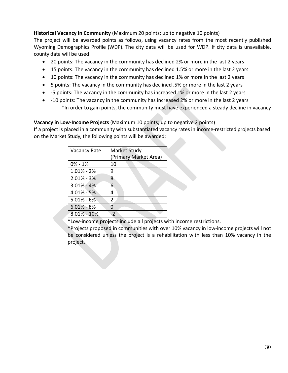#### **Historical Vacancy in Community** (Maximum 20 points; up to negative 10 points)

The project will be awarded points as follows, using vacancy rates from the most recently published Wyoming Demographics Profile (WDP). The city data will be used for WDP. If city data is unavailable, county data will be used:

- 20 points: The vacancy in the community has declined 2% or more in the last 2 years
- 15 points: The vacancy in the community has declined 1.5% or more in the last 2 years
- 10 points: The vacancy in the community has declined 1% or more in the last 2 years
- 5 points: The vacancy in the community has declined .5% or more in the last 2 years
- -5 points: The vacancy in the community has increased 1% or more in the last 2 years
- -10 points: The vacancy in the community has increased 2% or more in the last 2 years \*In order to gain points, the community must have experienced a steady decline in vacancy

#### **Vacancy in Low-Income Projects** (Maximum 10 points; up to negative 2 points)

If a project is placed in a community with substantiated vacancy rates in income-restricted projects based on the Market Study, the following points will be awarded:

| <b>Vacancy Rate</b> | <b>Market Study</b><br>(Primary Market Area) |
|---------------------|----------------------------------------------|
| $0\% - 1\%$         | 10                                           |
| $1.01\% - 2\%$      | 9                                            |
| $2.01\% - 3\%$      | 8                                            |
| $3.01\% - 4\%$      | 6                                            |
| $4.01\% - 5\%$      | 4                                            |
| $5.01\% - 6\%$      | $\mathcal{P}$                                |
| $6.01\% - 8\%$      | U                                            |
| $8.01\% - 10\%$     |                                              |

\*Low-income projects include all projects with income restrictions.

\*Projects proposed in communities with over 10% vacancy in low-income projects will not be considered unless the project is a rehabilitation with less than 10% vacancy in the project.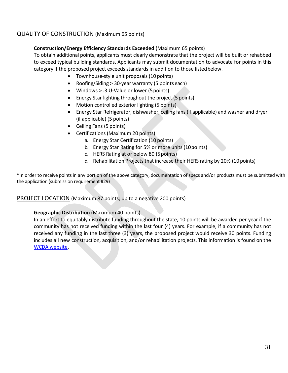#### QUALITY OF CONSTRUCTION (Maximum 65 points)

#### **Construction/Energy Efficiency Standards Exceeded** (Maximum 65 points)

To obtain additional points, applicants must clearly demonstrate that the project will be built or rehabbed to exceed typical building standards. Applicants may submit documentation to advocate for points in this category if the proposed project exceeds standards in addition to those listedbelow.

- Townhouse-style unit proposals (10 points)
- Roofing/Siding > 30-year warranty (5 points each)
- Windows > .3 U-Value or lower (5points)
- Energy Star lighting throughout the project (5 points)
- Motion controlled exterior lighting (5 points)
- Energy Star Refrigerator, dishwasher, ceiling fans (if applicable) and washer and dryer (if applicable) (5 points)
- Ceiling Fans (5 points)
- Certifications (Maximum 20 points)
	- a. Energy Star Certification (10 points)
	- b. Energy Star Rating for 5% or more units (10points)
	- c. HERS Rating at or below 80 (5points)
	- d. Rehabilitation Projects that increase their HERS rating by 20% (10 points)

\*In order to receive points in any portion of the above category, documentation of specs and/or products must be submitted with the application (submission requirement #29)

#### PROJECT LOCATION (Maximum 87 points; up to a negative 200 points)

#### **Geographic Distribution** (Maximum 40 points)

In an effort to equitably distribute funding throughout the state, 10 points will be awarded per year if the community has not received funding within the last four (4) years. For example, if a community has not received any funding in the last three (3) years, the proposed project would receive 30 points. Funding includes all new construction, acquisition, and/or rehabilitation projects. This information is found on the [WCDA website.](https://www.wyomingcda.com/wp-content/uploads/2021/01/Awards-by-Year-for-Website-Working.pdf)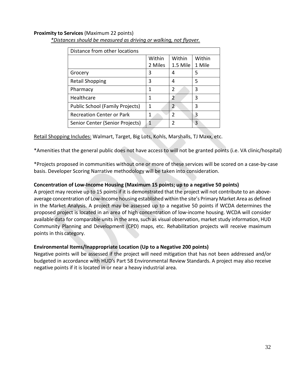#### **Proximity to Services** (Maximum 22 points)

| Distance from other locations          |         |               |        |
|----------------------------------------|---------|---------------|--------|
|                                        | Within  | Within        | Within |
|                                        | 2 Miles | 1.5 Mile      | 1 Mile |
| Grocery                                | 3       | 4             | 5      |
| <b>Retail Shopping</b>                 | 3       | 4             | 5      |
| Pharmacy                               | 1       | 2             | 3      |
| Healthcare                             | 1       | 2             | 3      |
| <b>Public School (Family Projects)</b> | 1       | $\mathcal{P}$ | 3      |
| <b>Recreation Center or Park</b>       | 1       | 2             | 3      |
| Senior Center (Senior Projects)        | 1       | 2             | 3      |

*\*Distances should be measured as driving or walking, not flyover.*

Retail Shopping Includes: Walmart, Target, Big Lots, Kohls, Marshalls, TJ Maxx, etc.

\*Amenities that the general public does not have access to will not be granted points (i.e. VA clinic/hospital)

\*Projects proposed in communities without one or more of these services will be scored on a case-by-case basis. Developer Scoring Narrative methodology will be taken into consideration.

#### **Concentration of Low-Income Housing (Maximum 15 points; up to a negative 50 points)**

A project may receive up to 15 points if it is demonstrated that the project will not contribute to an aboveaverage concentration of Low-Income housing established within the site's Primary Market Area as defined in the Market Analysis. A project may be assessed up to a negative 50 points if WCDA determines the proposed project is located in an area of high concentration of low-income housing. WCDA will consider available data for comparable units in the area, such as visual observation, market study information, HUD Community Planning and Development (CPD) maps, etc. Rehabilitation projects will receive maximum points in this category.

#### **Environmental Items/Inappropriate Location (Up to a Negative 200 points)**

Negative points will be assessed if the project will need mitigation that has not been addressed and/or budgeted in accordance with HUD's Part 58 Environmental Review Standards. A project may also receive negative points if it is located in or near a heavy industrial area.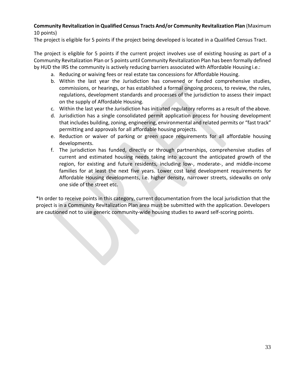#### **Community Revitalization in Qualified Census Tracts And/or Community Revitalization Plan** (Maximum 10 points)

The project is eligible for 5 points if the project being developed is located in a Qualified Census Tract.

The project is eligible for 5 points if the current project involves use of existing housing as part of a Community Revitalization Plan or 5 points until Community Revitalization Plan has been formally defined by HUD the IRS the community is actively reducing barriers associated with Affordable Housing i.e.:

- a. Reducing or waiving fees or real estate tax concessions for Affordable Housing.
- b. Within the last year the Jurisdiction has convened or funded comprehensive studies, commissions, or hearings, or has established a formal ongoing process, to review, the rules, regulations, development standards and processes of the jurisdiction to assess their impact on the supply of Affordable Housing.
- c. Within the last year the Jurisdiction has initiated regulatory reforms as a result of the above.
- d. Jurisdiction has a single consolidated permit application process for housing development that includes building, zoning, engineering, environmental and related permits or "fast track" permitting and approvals for all affordable housing projects.
- e. Reduction or waiver of parking or green space requirements for all affordable housing developments.
- f. The jurisdiction has funded, directly or through partnerships, comprehensive studies of current and estimated housing needs taking into account the anticipated growth of the region, for existing and future residents, including low-, moderate-, and middle-income families for at least the next five years. Lower cost land development requirements for Affordable Housing developments, i.e. higher density, narrower streets, sidewalks on only one side of the street etc.

\*In order to receive points in this category, current documentation from the local jurisdiction that the project is in a Community Revitalization Plan area must be submitted with the application. Developers are cautioned not to use generic community-wide housing studies to award self-scoring points.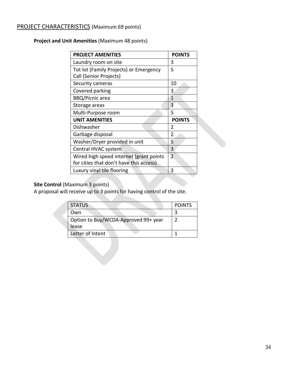### PROJECT CHARACTERISTICS (Maximum 69 points)

**Project and Unit Amenities** (Maximum 48 points)

| <b>PROJECT AMENITIES</b>                                                           | <b>POINTS</b>  |
|------------------------------------------------------------------------------------|----------------|
| Laundry room on site                                                               | 3              |
| Tot lot (Family Projects) or Emergency<br>Call (Senior Projects)                   | 5              |
| Security cameras                                                                   | 10             |
| Covered parking                                                                    | 3              |
| <b>BBQ/Picnic area</b>                                                             | 1              |
| Storage areas                                                                      | 3              |
| Multi-Purpose room                                                                 | 5              |
| <b>UNIT AMENITIES</b>                                                              | <b>POINTS</b>  |
| Dishwasher                                                                         | 2              |
| Garbage disposal                                                                   | $\overline{2}$ |
| Washer/Dryer provided in unit                                                      | 5              |
| Central HVAC system                                                                | 3              |
| Wired high speed internet (grant points<br>for cities that don't have this access) | $\overline{2}$ |
| Luxury vinyl tile flooring                                                         | 3              |

#### **Site Control (Maximum 3 points)**

A proposal will receive up to 3 points for having control of the site.

| <b>STATUS</b>                                 | <b>POINTS</b> |
|-----------------------------------------------|---------------|
| )wn                                           |               |
| Option to Buy/WCDA-Approved 99+ year<br>lease |               |
| Letter of Intent                              |               |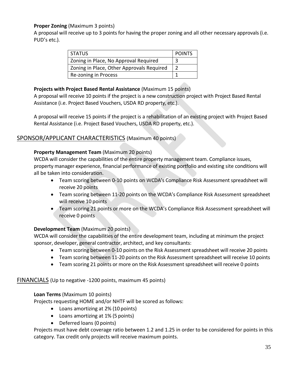#### **Proper Zoning** (Maximum 3 points)

A proposal will receive up to 3 points for having the proper zoning and all other necessary approvals (i.e. PUD's etc.).

| <b>STATUS</b>                             | <b>POINTS</b> |
|-------------------------------------------|---------------|
| Zoning in Place, No Approval Required     |               |
| Zoning in Place, Other Approvals Required |               |
| Re-zoning in Process                      |               |

#### **Projects with Project Based Rental Assistance** (Maximum 15 points)

A proposal will receive 10 points if the project is a new construction project with Project Based Rental Assistance (i.e. Project Based Vouchers, USDA RD property, etc.).

A proposal will receive 15 points if the project is a rehabilitation of an existing project with Project Based Rental Assistance (i.e. Project Based Vouchers, USDA RD property, etc.).

#### SPONSOR/APPLICANT CHARACTERISTICS (Maximum 40 points)

#### **Property Management Team** (Maximum 20 points)

WCDA will consider the capabilities of the entire property management team. Compliance issues, property manager experience, financial performance of existing portfolio and existing site conditions will all be taken into consideration.

- Team scoring between 0-10 points on WCDA's Compliance Risk Assessment spreadsheet will receive 20 points
- Team scoring between 11-20 points on the WCDA's Compliance Risk Assessment spreadsheet will receive 10 points
- Team scoring 21 points or more on the WCDA's Compliance Risk Assessment spreadsheet will receive 0 points

#### **Development Team** (Maximum 20 points)

WCDA will consider the capabilities of the entire development team, including at minimum the project sponsor, developer, general contractor, architect, and key consultants:

- Team scoring between 0-10 points on the Risk Assessment spreadsheet will receive 20 points
- Team scoring between 11-20 points on the Risk Assessment spreadsheet will receive 10 points
- Team scoring 21 points or more on the Risk Assessment spreadsheet will receive 0 points

#### FINANCIALS (Up to negative -1200 points, maximum 45 points)

#### **Loan Terms** (Maximum 10 points)

Projects requesting HOME and/or NHTF will be scored as follows:

- Loans amortizing at 2% (10 points)
- Loans amortizing at 1% (5 points)
- Deferred loans (0 points)

Projects must have debt coverage ratio between 1.2 and 1.25 in order to be considered for points in this category. Tax credit only projects will receive maximum points.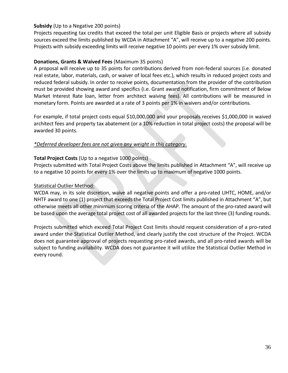#### **Subsidy** (Up to a Negative 200 points)

Projects requesting tax credits that exceed the total per unit Eligible Basis or projects where all subsidy sources exceed the limits published by WCDA in Attachment "A", will receive up to a negative 200 points. Projects with subsidy exceeding limits will receive negative 10 points per every 1% over subsidy limit.

#### **Donations, Grants & Waived Fees** (Maximum 35 points)

A proposal will receive up to 35 points for contributions derived from non-federal sources (i.e. donated real estate, labor, materials, cash, or waiver of local fees etc.), which results in reduced project costs and reduced federal subsidy. In order to receive points, documentation from the provider of the contribution must be provided showing award and specifics (i.e. Grant award notification, firm commitment of Below Market Interest Rate loan, letter from architect waiving fees). All contributions will be measured in monetary form. Points are awarded at a rate of 3 points per 1% in waivers and/or contributions.

For example, if total project costs equal \$10,000,000 and your proposals receives \$1,000,000 in waived architect fees and property tax abatement (or a 10% reduction in total project costs) the proposal will be awarded 30 points.

#### *\*Deferred developer fees are not given any weight in this category.*

#### **Total Project Costs** (Up to a negative 1000 points)

Projects submitted with Total Project Costs above the limits published in Attachment "A", will receive up to a negative 10 points for every 1% over the limits up to maximum of negative 1000 points.

#### Statistical Outlier Method:

WCDA may, in its sole discretion, waive all negative points and offer a pro-rated LIHTC, HOME, and/or NHTF award to one (1) project that exceeds the Total Project Cost limits published in Attachment "A", but otherwise meets all other minimum scoring criteria of the AHAP. The amount of the pro-rated award will be based upon the average total project cost of all awarded projects for the last three (3) funding rounds.

Projects submitted which exceed Total Project Cost limits should request consideration of a pro-rated award under the Statistical Outlier Method, and clearly justify the cost structure of the Project. WCDA does not guarantee approval of projects requesting pro-rated awards, and all pro-rated awards will be subject to funding availability. WCDA does not guarantee it will utilize the Statistical Outlier Method in every round.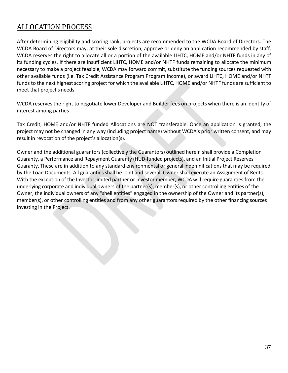# ALLOCATION PROCESS

After determining eligibility and scoring rank, projects are recommended to the WCDA Board of Directors. The WCDA Board of Directors may, at their sole discretion, approve or deny an application recommended by staff. WCDA reserves the right to allocate all or a portion of the available LIHTC, HOME and/or NHTF funds in any of its funding cycles. If there are insufficient LIHTC, HOME and/or NHTF funds remaining to allocate the minimum necessary to make a project feasible, WCDA may forward commit, substitute the funding sources requested with other available funds (i.e. Tax Credit Assistance Program Program Income), or award LIHTC, HOME and/or NHTF funds to the next highest scoring project for which the available LIHTC, HOME and/or NHTF funds are sufficient to meet that project's needs.

WCDA reserves the right to negotiate lower Developer and Builder fees on projects when there is an identity of interest among parties

Tax Credit, HOME and/or NHTF funded Allocations are NOT transferable. Once an application is granted, the project may not be changed in any way (including project name) without WCDA's prior written consent, and may result in revocation of the project's allocation(s).

Owner and the additional guarantors (collectively the Guarantors) outlined herein shall provide a Completion Guaranty, a Performance and Repayment Guaranty (HUD-funded projects), and an Initial Project Reserves Guaranty. These are in addition to any standard environmental or general indemnifications that may be required by the Loan Documents. All guaranties shall be joint and several. Owner shall execute an Assignment of Rents. With the exception of the Investor limited partner or Investor member, WCDA will require guaranties from the underlying corporate and individual owners of the partner(s), member(s), or other controlling entities of the Owner, the individual owners of any "shell entities" engaged in the ownership of the Owner and its partner(s), member(s), or other controlling entities and from any other guarantors required by the other financing sources investing in the Project.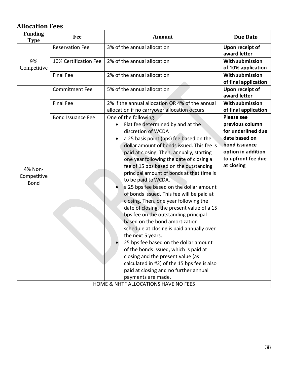# **Allocation Fees**

| <b>Funding</b><br><b>Type</b>         | Fee                      | <b>Amount</b>                                                                                                                                                                                                                                                                                                                                                                                                                                                                                                                                                                                                                                                                                                                                                                                                                                                                                                                                    | <b>Due Date</b>                                                                                                                                        |
|---------------------------------------|--------------------------|--------------------------------------------------------------------------------------------------------------------------------------------------------------------------------------------------------------------------------------------------------------------------------------------------------------------------------------------------------------------------------------------------------------------------------------------------------------------------------------------------------------------------------------------------------------------------------------------------------------------------------------------------------------------------------------------------------------------------------------------------------------------------------------------------------------------------------------------------------------------------------------------------------------------------------------------------|--------------------------------------------------------------------------------------------------------------------------------------------------------|
|                                       | <b>Reservation Fee</b>   | 3% of the annual allocation                                                                                                                                                                                                                                                                                                                                                                                                                                                                                                                                                                                                                                                                                                                                                                                                                                                                                                                      | Upon receipt of<br>award letter                                                                                                                        |
| 9%<br>Competitive                     | 10% Certification Fee    | 2% of the annual allocation                                                                                                                                                                                                                                                                                                                                                                                                                                                                                                                                                                                                                                                                                                                                                                                                                                                                                                                      | With submission<br>of 10% application                                                                                                                  |
|                                       | <b>Final Fee</b>         | 2% of the annual allocation                                                                                                                                                                                                                                                                                                                                                                                                                                                                                                                                                                                                                                                                                                                                                                                                                                                                                                                      | <b>With submission</b><br>of final application                                                                                                         |
|                                       | <b>Commitment Fee</b>    | 5% of the annual allocation                                                                                                                                                                                                                                                                                                                                                                                                                                                                                                                                                                                                                                                                                                                                                                                                                                                                                                                      | Upon receipt of<br>award letter                                                                                                                        |
|                                       | <b>Final Fee</b>         | 2% if the annual allocation OR 4% of the annual<br>allocation if no carryover allocation occurs                                                                                                                                                                                                                                                                                                                                                                                                                                                                                                                                                                                                                                                                                                                                                                                                                                                  | <b>With submission</b><br>of final application                                                                                                         |
| 4% Non-<br>Competitive<br><b>Bond</b> | <b>Bond Issuance Fee</b> | One of the following:<br>Flat fee determined by and at the<br>discretion of WCDA<br>a 25 basis point (bps) fee based on the<br>dollar amount of bonds issued. This fee is<br>paid at closing. Then, annually, starting<br>one year following the date of closing a<br>fee of 15 bps based on the outstanding<br>principal amount of bonds at that time is<br>to be paid to WCDA.<br>a 25 bps fee based on the dollar amount<br>of bonds issued. This fee will be paid at<br>closing. Then, one year following the<br>date of closing, the present value of a 15<br>bps fee on the outstanding principal<br>based on the bond amortization<br>schedule at closing is paid annually over<br>the next 5 years.<br>25 bps fee based on the dollar amount<br>of the bonds issued, which is paid at<br>closing and the present value (as<br>calculated in #2) of the 15 bps fee is also<br>paid at closing and no further annual<br>payments are made. | <b>Please see</b><br>previous column<br>for underlined due<br>date based on<br>bond issuance<br>option in addition<br>to upfront fee due<br>at closing |
| HOME & NHTF ALLOCATIONS HAVE NO FEES  |                          |                                                                                                                                                                                                                                                                                                                                                                                                                                                                                                                                                                                                                                                                                                                                                                                                                                                                                                                                                  |                                                                                                                                                        |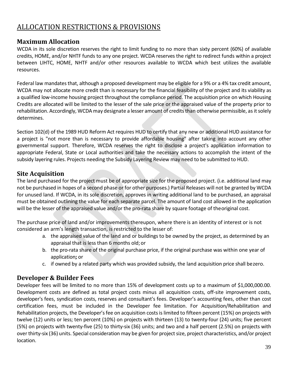# ALLOCATION RESTRICTIONS & PROVISIONS

#### **Maximum Allocation**

WCDA in its sole discretion reserves the right to limit funding to no more than sixty percent (60%) of available credits, HOME, and/or NHTF funds to any one project. WCDA reserves the right to redirect funds within a project between LIHTC, HOME, NHTF and/or other resources available to WCDA which best utilizes the available resources.

Federal law mandates that, although a proposed development may be eligible for a 9% or a 4% tax credit amount, WCDA may not allocate more credit than is necessary for the financial feasibility of the project and its viability as a qualified low-income housing project throughout the compliance period. The acquisition price on which Housing Credits are allocated will be limited to the lesser of the sale price or the appraised value of the property prior to rehabilitation. Accordingly, WCDA may designate a lesser amount of credits than otherwise permissible, as it solely determines.

Section 102(d) of the 1989 HUD Reform Act requires HUD to certify that any new or additional HUD assistance for a project is "not more than is necessary to provide affordable housing" after taking into account any other governmental support. Therefore, WCDA reserves the right to disclose a project's application information to appropriate Federal, State or Local authorities and take the necessary actions to accomplish the intent of the subsidy layering rules. Projects needing the Subsidy Layering Review may need to be submitted to HUD.

#### **Site Acquisition**

The land purchased for the project must be of appropriate size for the proposed project. (i.e. additional land may not be purchased in hopes of a second phase or for other purposes.) Partial Releases will not be granted by WCDA for unused land. If WCDA, in its sole discretion, approves in writing additional land to be purchased, an appraisal must be obtained outlining the value for each separate parcel. The amount of land cost allowed in the application will be the lesser of the appraised value and/or the pro-rata share by square footage of theoriginal cost.

The purchase price of land and/or improvements thereupon, where there is an identity of interest or is not considered an arm's length transaction, is restricted to the lesser of:

- a. the appraised value of the land and or buildings to be owned by the project, as determined by an appraisal that is less than 6 months old;or
- b. the pro-rata share of the original purchase price, if the original purchase was within one year of application**;** or
- c. if owned by a related party which was provided subsidy, the land acquisition price shall bezero.

### **Developer & Builder Fees**

Developer fees will be limited to no more than 15% of development costs up to a maximum of \$1,000,000.00. Development costs are defined as total project costs minus all acquisition costs, off-site improvement costs, developer's fees, syndication costs, reserves and consultant's fees. Developer's accounting fees, other than cost certification fees, must be included in the Developer fee limitation. For Acquisition/Rehabilitation and Rehabilitation projects, the Developer's fee on acquisition costs is limited to fifteen percent (15%) on projects with twelve (12) units or less; ten percent (10%) on projects with thirteen (13) to twenty-four (24) units; five percent (5%) on projects with twenty-five (25) to thirty-six (36) units; and two and a half percent (2.5%) on projects with over thirty-six (36) units. Special consideration may be given for project size, project characteristics, and/or project location.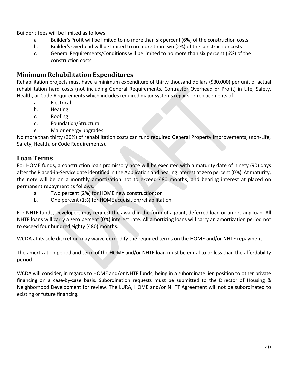Builder's fees will be limited as follows:

- a. Builder's Profit will be limited to no more than six percent (6%) of the construction costs
- b. Builder's Overhead will be limited to no more than two (2%) of the construction costs
- c. General Requirements/Conditions will be limited to no more than six percent (6%) of the construction costs

#### **Minimum Rehabilitation Expenditures**

Rehabilitation projects must have a minimum expenditure of thirty thousand dollars (\$30,000) per unit of actual rehabilitation hard costs (not including General Requirements, Contractor Overhead or Profit) in Life, Safety, Health, or Code Requirements which includes required major systems repairs or replacements of:

- a. Electrical
- b. Heating
- c. Roofing
- d. Foundation/Structural
- e. Major energy upgrades

No more than thirty (30%) of rehabilitation costs can fund required General Property Improvements, (non-Life, Safety, Health, or Code Requirements).

#### **Loan Terms**

For HOME funds, a construction loan promissory note will be executed with a maturity date of ninety (90) days after the Placed-in-Service date identified in the Application and bearing interest at zero percent (0%). At maturity, the note will be on a monthly amortization not to exceed 480 months; and bearing interest at placed on permanent repayment as follows:

- a. Two percent (2%) for HOME new construction;or
- b. One percent (1%) for HOME acquisition/rehabilitation.

For NHTF funds, Developers may request the award in the form of a grant, deferred loan or amortizing loan. All NHTF loans will carry a zero percent (0%) interest rate. All amortizing loans will carry an amortization period not to exceed four hundred eighty (480) months.

WCDA at its sole discretion may waive or modify the required terms on the HOME and/or NHTF repayment.

The amortization period and term of the HOME and/or NHTF loan must be equal to or less than the affordability period.

WCDA will consider, in regards to HOME and/or NHTF funds, being in a subordinate lien position to other private financing on a case-by-case basis. Subordination requests must be submitted to the Director of Housing & Neighborhood Development for review. The LURA, HOME and/or NHTF Agreement will not be subordinated to existing or future financing.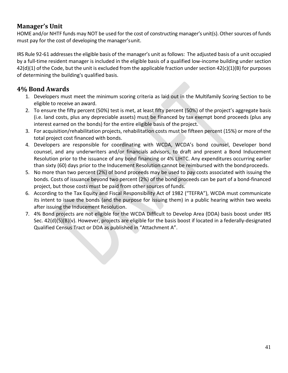#### **Manager's Unit**

HOME and/or NHTF funds may NOT be used for the cost of constructing manager's unit(s). Other sources of funds must pay for the cost of developing the manager'sunit.

IRS Rule 92-61 addressesthe eligible basis of the manager's unit as follows: The adjusted basis of a unit occupied by a full-time resident manager is included in the eligible basis of a qualified low-income building under section  $42(d)(1)$  of the Code, but the unit is excluded from the applicable fraction under section  $42(c)(1)(B)$  for purposes of determining the building's qualified basis.

## **4% Bond Awards**

- 1. Developers must meet the minimum scoring criteria as laid out in the Multifamily Scoring Section to be eligible to receive an award.
- 2. To ensure the fifty percent (50%) test is met, at least fifty percent (50%) of the project's aggregate basis (i.e. land costs, plus any depreciable assets) must be financed by tax exempt bond proceeds (plus any interest earned on the bonds) for the entire eligible basis of the project.
- 3. For acquisition/rehabilitation projects, rehabilitation costs must be fifteen percent (15%) or more of the total project cost financed with bonds.
- 4. Developers are responsible for coordinating with WCDA, WCDA's bond counsel, Developer bond counsel, and any underwriters and/or financials advisors, to draft and present a Bond Inducement Resolution prior to the issuance of any bond financing or 4% LIHTC. Any expenditures occurring earlier than sixty (60) days prior to the Inducement Resolution cannot be reimbursed with the bondproceeds.
- 5. No more than two percent (2%) of bond proceeds may be used to pay costs associated with issuing the bonds. Costs of issuance beyond two percent (2%) of the bond proceeds can be part of a bond-financed project, but those costs must be paid from other sources of funds.
- 6. According to the Tax Equity and Fiscal Responsibility Act of 1982 ("TEFRA"), WCDA must communicate its intent to issue the bonds (and the purpose for issuing them) in a public hearing within two weeks after issuing the Inducement Resolution.
- 7. 4% Bond projects are not eligible for the WCDA Difficult to Develop Area (DDA) basis boost under IRS Sec. 42(d)(5)(B)(v). However, projects are eligible for the basis boost if located in a federally-designated Qualified Census Tract or DDA as published in "Attachment A".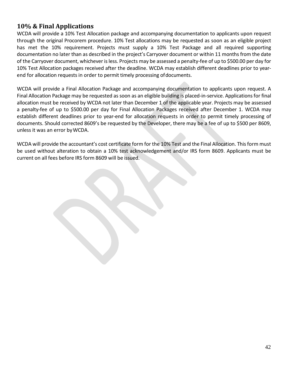#### **10% & Final Applications**

WCDA will provide a 10% Test Allocation package and accompanying documentation to applicants upon request through the original Procorem procedure. 10% Test allocations may be requested as soon as an eligible project has met the 10% requirement. Projects must supply a 10% Test Package and all required supporting documentation no later than as described in the project's Carryover document or within 11 months from the date of the Carryover document, whichever isless. Projects may be assessed a penalty-fee of up to \$500.00 per day for 10% Test Allocation packages received after the deadline. WCDA may establish different deadlines prior to yearend for allocation requests in order to permit timely processing ofdocuments.

WCDA will provide a Final Allocation Package and accompanying documentation to applicants upon request. A Final Allocation Package may be requested as soon as an eligible building is placed-in-service. Applications for final allocation must be received by WCDA not later than December 1 of the applicable year. Projects may be assessed a penalty-fee of up to \$500.00 per day for Final Allocation Packages received after December 1. WCDA may establish different deadlines prior to year-end for allocation requests in order to permit timely processing of documents. Should corrected 8609's be requested by the Developer, there may be a fee of up to \$500 per 8609, unless it was an error byWCDA.

WCDA will provide the accountant's cost certificate form for the 10% Test and the Final Allocation. This form must be used without alteration to obtain a 10% test acknowledgement and/or IRS form 8609. Applicants must be current on all fees before IRS form 8609 will be issued.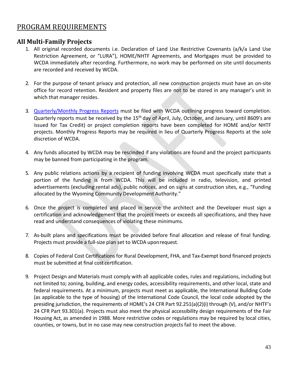# PROGRAM REQUIREMENTS

#### **All Multi-Family Projects**

- 1. All original recorded documents i.e. Declaration of Land Use Restrictive Covenants (a/k/a Land Use Restriction Agreement, or "LURA"), HOME/NHTF Agreements, and Mortgages must be provided to WCDA immediately after recording. Furthermore, no work may be performed on site until documents are recorded and received by WCDA.
- 2. For the purpose of tenant privacy and protection, all new construction projects must have an on-site office for record retention. Resident and property files are not to be stored in any manager's unit in which that manager resides.
- 3. [Quarterly/Monthly Progress Reports](https://www.wyomingcda.com/wp-content/uploads/2021/05/Quarterly-Progress-Report.pdf) must be filed with WCDA outlining progress toward completion. Quarterly reports must be received by the 15<sup>th</sup> day of April, July, October, and January, until 8609's are issued for Tax Credit) or project completion reports have been completed for HOME and/or NHTF projects. Monthly Progress Reports may be required in lieu of Quarterly Progress Reports at the sole discretion of WCDA.
- 4. Any funds allocated by WCDA may be rescinded if any violations are found and the project participants may be banned from participating in the program.
- 5. Any public relations actions by a recipient of funding involving WCDA must specifically state that a portion of the funding is from WCDA. This will be included in radio, television, and printed advertisements (excluding rental ads), public notices, and on signs at construction sites, e.g., "Funding allocated by the Wyoming Community Development Authority."
- 6. Once the project is completed and placed in service the architect and the Developer must sign a certification and acknowledgement that the project meets or exceeds all specifications, and they have read and understand consequences of violating these minimums.
- 7. As-built plans and specifications must be provided before final allocation and release of final funding. Projects must provide a full-size plan set to WCDA uponrequest.
- 8. Copies of Federal Cost Certifications for Rural Development, FHA, and Tax-Exempt bond financed projects must be submitted at final cost certification.
- 9. Project Design and Materials must comply with all applicable codes, rules and regulations, including but not limited to; zoning, building, and energy codes, accessibility requirements, and other local, state and federal requirements. At a minimum, projects must meet as applicable, the International Building Code (as applicable to the type of housing) of the International Code Council, the local code adopted by the presiding jurisdiction, the requirements of HOME's 24 CFR Part 92.251(a)(2)(i) through (V), and/or NHTF's 24 CFR Part 93.301(a). Projects must also meet the physical accessibility design requirements of the Fair Housing Act, as amended in 1988. More restrictive codes or regulations may be required by local cities, counties, or towns, but in no case may new construction projects fail to meet the above.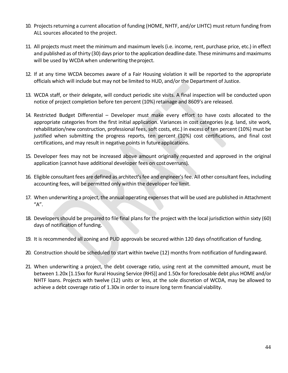- 10. Projects returning a current allocation of funding (HOME, NHTF, and/or LIHTC) must return funding from ALL sources allocated to the project.
- 11. All projects must meet the minimum and maximum levels (i.e. income, rent, purchase price, etc.) in effect and published as of thirty (30) days prior to the application deadline date. These minimums and maximums will be used by WCDA when underwriting theproject.
- 12. If at any time WCDA becomes aware of a Fair Housing violation it will be reported to the appropriate officials which will include but may not be limited to HUD, and/or the Department of Justice.
- 13. WCDA staff, or their delegate, will conduct periodic site visits. A final inspection will be conducted upon notice of project completion before ten percent (10%) retainage and 8609's are released.
- 14. Restricted Budget Differential Developer must make every effort to have costs allocated to the appropriate categories from the first initial application. Variances in cost categories (e.g. land, site work, rehabilitation/new construction, professional fees, soft costs, etc.) in excess of ten percent (10%) must be justified when submitting the progress reports, ten percent (10%) cost certifications, and final cost certifications, and may result in negative points in futureapplications.
- 15. Developer fees may not be increased above amount originally requested and approved in the original application (cannot have additional developer fees on costoverruns).
- 16. Eligible consultant fees are defined as architect'sfee and engineer'sfee. All other consultant fees, including accounting fees, will be permitted only within the developer fee limit.
- 17. When underwriting a project, the annual operating expenses that will be used are published in Attachment "A".
- 18. Developers should be prepared to file final plans for the project with the local jurisdiction within sixty (60) days of notification of funding.
- 19. It is recommended all zoning and PUD approvals be secured within 120 days ofnotification of funding.
- 20. Construction should be scheduled to start within twelve (12) months from notification of fundingaward.
- 21. When underwriting a project, the debt coverage ratio, using rent at the committed amount, must be between 1.20x [1.15xx for Rural Housing Service (RHS)] and 1.50x for foreclosable debt plus HOME and/or NHTF loans. Projects with twelve (12) units or less, at the sole discretion of WCDA, may be allowed to achieve a debt coverage ratio of 1.30x in order to insure long term financial viability.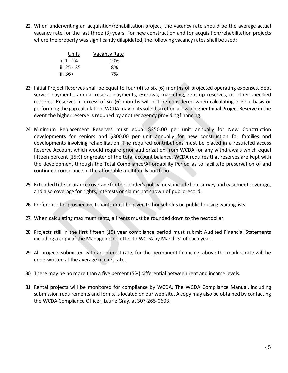22. When underwriting an acquisition/rehabilitation project, the vacancy rate should be the average actual vacancy rate for the last three (3) years. For new construction and for acquisition/rehabilitation projects where the property was significantly dilapidated, the following vacancy rates shall beused:

| Units       | Vacancy Rate |
|-------------|--------------|
| i. 1 - 24   | 10%          |
| ii. 25 - 35 | 8%           |
| iii. $36$   | 7%           |

- 23. Initial Project Reserves shall be equal to four (4) to six (6) months of projected operating expenses, debt service payments, annual reserve payments, escrows, marketing, rent-up reserves, or other specified reserves. Reserves in excess of six (6) months will not be considered when calculating eligible basis or performing the gap calculation. WCDA may in its sole discretion allow a higher Initial Project Reserve in the event the higher reserve is required by another agency providingfinancing.
- 24. Minimum Replacement Reserves must equal \$250.00 per unit annually for New Construction developments for seniors and \$300.00 per unit annually for new construction for families and developments involving rehabilitation. The required contributions must be placed in a restricted access Reserve Account which would require prior authorization from WCDA for any withdrawals which equal fifteen percent (15%) or greater of the total account balance. WCDA requires that reserves are kept with the development through the Total Compliance/Affordability Period as to facilitate preservation of and continued compliance in the affordable multifamily portfolio.
- 25. Extended title insurance coverage for the Lender's policy must include lien, survey and easement coverage, and also coverage for rights, interests or claims not shown of publicrecord.
- 26. Preference for prospective tenants must be given to households on public housing waitinglists.
- 27. When calculating maximum rents, all rents must be rounded down to the nextdollar.
- 28. Projects still in the first fifteen (15) year compliance period must submit Audited Financial Statements including a copy of the Management Letter to WCDA by March 31of each year.
- 29. All projects submitted with an interest rate, for the permanent financing, above the market rate will be underwritten at the average market rate.
- 30. There may be no more than a five percent (5%) differential between rent and income levels.
- 31. Rental projects will be monitored for compliance by WCDA. The WCDA Compliance Manual, including submission requirements and forms, islocated on our web site. A copy may also be obtained by contacting the WCDA Compliance Officer, Laurie Gray, at 307-265-0603.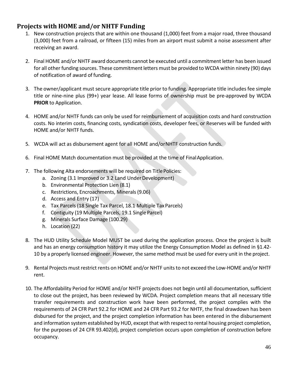#### **Projects with HOME and/or NHTF Funding**

- 1. New construction projects that are within one thousand (1,000) feet from a major road, three thousand (3,000) feet from a railroad, or fifteen (15) miles from an airport must submit a noise assessment after receiving an award.
- 2. Final HOME and/or NHTF award documents cannot be executed until a commitment letter has been issued for all other funding sources. These commitment letters must be provided to WCDA within ninety (90) days of notification of award of funding.
- 3. The owner/applicant must secure appropriate title prior to funding. Appropriate title includes fee simple title or nine-nine plus (99+) year lease. All lease forms of ownership must be pre-approved by WCDA **PRIOR** to Application.
- 4. HOME and/or NHTF funds can only be used for reimbursement of acquisition costs and hard construction costs. No interim costs, financing costs, syndication costs, developer fees, or Reserves will be funded with HOME and/or NHTF funds.
- 5. WCDA will act as disbursement agent for all HOME and/orNHTF construction funds.
- 6. Final HOME Match documentation must be provided at the time of FinalApplication.
- 7. The following Alta endorsements will be required on Title Policies:
	- a. Zoning (3.1 Improved or 3.2 Land Under Development)
	- b. Environmental Protection Lien (8.1)
	- c. Restrictions, Encroachments, Minerals(9.06)
	- d. Access and Entry (17)
	- e. Tax Parcels (18 Single Tax Parcel, 18.1 Multiple TaxParcels)
	- f. Contiguity (19 Multiple Parcels, 19.1 Single Parcel)
	- g. Minerals Surface Damage (100.29)
	- h. Location (22)
- 8. The HUD Utility Schedule Model MUST be used during the application process. Once the project is built and has an energy consumption history it may utilize the Energy Consumption Model as defined in §1.42- 10 by a properly licensed engineer. However, the same method must be used for every unit in the project.
- 9. Rental Projects must restrict rents on HOME and/or NHTF unitsto not exceed the Low-HOME and/or NHTF rent.
- 10. The Affordability Period for HOME and/or NHTF projects does not begin until all documentation, sufficient to close out the project, has been reviewed by WCDA. Project completion means that all necessary title transfer requirements and construction work have been performed, the project complies with the requirements of 24 CFR Part 92.2 for HOME and 24 CFR Part 93.2 for NHTF, the final drawdown has been disbursed for the project, and the project completion information has been entered in the disbursement and information system established by HUD, except that with respect to rental housing project completion, for the purposes of 24 CFR 93.402(d), project completion occurs upon completion of construction before occupancy.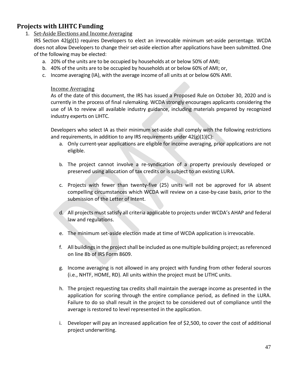### **Projects with LIHTC Funding**

1. Set-Aside Elections and Income Averaging

IRS Section 42(g)(1) requires Developers to elect an irrevocable minimum set-aside percentage. WCDA does not allow Developers to change their set-aside election after applications have been submitted. One of the following may be elected:

- a. 20% of the units are to be occupied by households at or below 50% of AMI;
- b. 40% of the units are to be occupied by households at or below 60% of AMI; or,
- c. Income averaging (IA), with the average income of all units at or below 60% AMI.

#### Income Averaging

As of the date of this document, the IRS has issued a Proposed Rule on October 30, 2020 and is currently in the process of final rulemaking. WCDA strongly encourages applicants considering the use of IA to review all available industry guidance, including materials prepared by recognized industry experts on LIHTC.

Developers who select IA as their minimum set-aside shall comply with the following restrictions and requirements, in addition to any IRS requirements under 42(g)(1)(C):

- a. Only current-year applications are eligible for income averaging, prior applications are not eligible.
- b. The project cannot involve a re-syndication of a property previously developed or preserved using allocation of tax credits or is subject to an existing LURA.
- c. Projects with fewer than twenty-five (25) units will not be approved for IA absent compelling circumstances which WCDA will review on a case-by-case basis, prior to the submission of the Letter of Intent.
- d. All projects must satisfy all criteria applicable to projects under WCDA's AHAP and federal law and regulations.
- e. The minimum set-aside election made at time of WCDA application is irrevocable.
- f. All buildings in the project shall be included as one multiple building project; as referenced on line 8b of IRS Form 8609.
- g. Income averaging is not allowed in any project with funding from other federal sources (i.e., NHTF, HOME, RD). All units within the project must be LITHC units.
- h. The project requesting tax credits shall maintain the average income as presented in the application for scoring through the entire compliance period, as defined in the LURA. Failure to do so shall result in the project to be considered out of compliance until the average is restored to level represented in the application.
- i. Developer will pay an increased application fee of \$2,500, to cover the cost of additional project underwriting.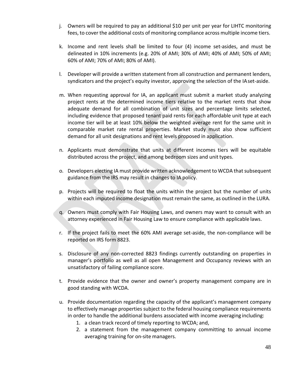- j. Owners will be required to pay an additional \$10 per unit per year for LIHTC monitoring fees, to cover the additional costs of monitoring compliance across multiple income tiers.
- k. Income and rent levels shall be limited to four (4) income set-asides, and must be delineated in 10% increments (e.g. 20% of AMI; 30% of AMI; 40% of AMI; 50% of AMI; 60% of AMI; 70% of AMI; 80% of AMI).
- l. Developer will provide a written statement from all construction and permanent lenders, syndicators and the project's equity investor, approving the selection of the IAset-aside.
- m. When requesting approval for IA, an applicant must submit a market study analyzing project rents at the determined income tiers relative to the market rents that show adequate demand for all combination of unit sizes and percentage limits selected, including evidence that proposed tenant paid rents for each affordable unit type at each income tier will be at least 10% below the weighted average rent for the same unit in comparable market rate rental properties. Market study must also show sufficient demand for all unit designations and rent levels proposed in application.
- n. Applicants must demonstrate that units at different incomes tiers will be equitable distributed across the project, and among bedroom sizes and unit types.
- o. Developers electing IA must provide written acknowledgement to WCDA that subsequent guidance from the IRS may result in changes to IA policy.
- p. Projects will be required to float the units within the project but the number of units within each imputed income designation must remain the same, as outlined in the LURA.
- q. Owners must comply with Fair Housing Laws, and owners may want to consult with an attorney experienced in Fair Housing Law to ensure compliance with applicable laws.
- r. If the project fails to meet the 60% AMI average set-aside, the non-compliance will be reported on IRS form 8823.
- s. Disclosure of any non-corrected 8823 findings currently outstanding on properties in manager's portfolio as well as all open Management and Occupancy reviews with an unsatisfactory of failing compliance score.
- t. Provide evidence that the owner and owner's property management company are in good standing with WCDA.
- u. Provide documentation regarding the capacity of the applicant's management company to effectively manage properties subject to the federal housing compliance requirements in order to handle the additional burdens associated with income averaging including:
	- 1. a clean track record of timely reporting to WCDA; and,
	- 2. a statement from the management company committing to annual income averaging training for on-site managers.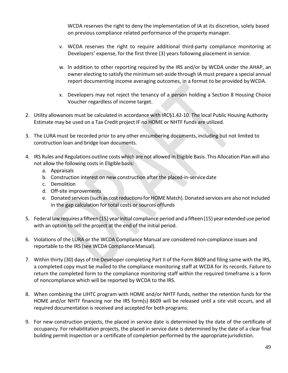WCDA reserves the right to deny the implementation of IA at its discretion, solely based on previous compliance related performance of the property manager.

- v. WCDA reserves the right to require additional third-party compliance monitoring at Developers' expense, for the first three (3) years following placement in service.
- w. In addition to other reporting required by the IRS and/or by WCDA under the AHAP, an owner electing to satisfy the minimum set-aside through IA must prepare a special annual report documenting income averaging outcomes, in a format to be provided byWCDA.
- x. Developers may not reject the tenancy of a person holding a Section 8 Housing Choice Voucher regardless of income target.
- 2. Utility allowances must be calculated in accordance with IRC§1.42-10. The local Public Housing Authority Estimate may be used on a Tax Credit project IF no HOME or NHTF funds are utilized.
- 3. The LURA must be recorded prior to any other encumbering documents, including but not limited to construction loan and bridge loan documents.
- 4. IRS Rules and Regulations outline costs which are not allowed in Eligible Basis. This Allocation Plan will also not allow the following costs in Eligible basis:
	- a. Appraisals
	- b. Construction interest on new construction after the placed-in-servicedate
	- c. Demolition
	- d. Off-site improvements
	- e. Donated services (such as cost reductions for HOME Match). Donated services are also not included in the gap calculation for total costs or sources offunds
- 5. Federal law requires a fifteen (15) yearinitial compliance period and a fifteen(15) year extended use period with an option to sell the project at the end of the initial period.
- 6. Violations of the LURA or the WCDA Compliance Manual are considered non-compliance issues and reportable to the IRS (see WCDA Compliance Manual).
- 7. Within thirty (30) days of the Developer completing Part II of the Form 8609 and filing same with the IRS, a completed copy must be mailed to the compliance monitoring staff at WCDA for its records. Failure to return the completed form to the compliance monitoring staff within the required timeframe is a form of noncompliance which will be reported by WCDA to the IRS.
- 8. When combining the LIHTC program with HOME and/or NHTF funds, neither the retention funds for the HOME and/or NHTF financing nor the IRS form(s) 8609 will be released until a site visit occurs, and all required documentation is received and accepted for both programs.
- 9. For new construction projects, the placed in service date is determined by the date of the certificate of occupancy. For rehabilitation projects, the placed in service date is determined by the date of a clear final building permit inspection or a certificate of completion performed by the appropriate jurisdiction.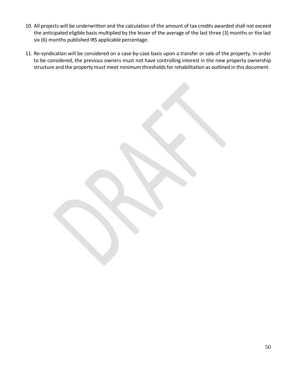- 10. All projects will be underwritten and the calculation of the amount of tax credits awarded shall not exceed the anticipated eligible basis multiplied by the lesser of the average of the last three (3) months or the last six (6) months published IRS applicable percentage.
- 11. Re-syndication will be considered on a case-by-case basis upon a transfer or sale of the property. In order to be considered, the previous owners must not have controlling interest in the new property ownership structure and the property must meet minimum thresholds for rehabilitation as outlined in this document.

50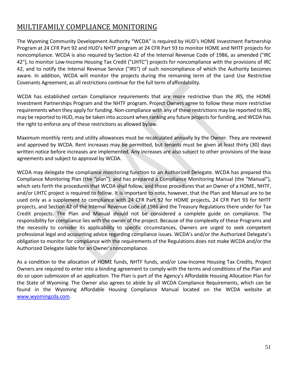# MULTIFAMILY COMPLIANCE MONITORING

The Wyoming Community Development Authority "WCDA" is required by HUD's HOME Investment Partnership Program at 24 CFR Part 92 and HUD's NHTF program at 24 CFR Part 93 to monitor HOME and NHTF projects for noncompliance. WCDA is also required by Section 42 of the Internal Revenue Code of 1986, as amended ("IRC 42"), to monitor Low-Income Housing Tax Credit ("LIHTC") projects for noncompliance with the provisions of IRC 42, and to notify the Internal Revenue Service ("IRS") of such noncompliance of which the Authority becomes aware. In addition, WCDA will monitor the projects during the remaining term of the Land Use Restrictive Covenants Agreement, as all restrictions continue for the full term of affordability.

WCDA has established certain Compliance requirements that are more restrictive than the IRS, the HOME Investment Partnerships Program and the NHTF program. Project Owners agree to follow these more restrictive requirements when they apply for funding. Non-compliance with any of these restrictions may be reported to IRS, may be reported to HUD, may be taken into account when ranking any future projectsfor funding, and WCDA has the right to enforce any of these restrictions as allowed bylaw.

Maximum monthly rents and utility allowances must be recalculated annually by the Owner. They are reviewed and approved by WCDA. Rent increases may be permitted, but tenants must be given at least thirty (30) days written notice before increases are implemented. Any increases are also subject to other provisions of the lease agreements and subject to approval by WCDA.

WCDA may delegate the compliance monitoring function to an Authorized Delegate. WCDA has prepared this Compliance Monitoring Plan (the "plan"), and has prepared a Compliance Monitoring Manual (the "Manual"), which sets forth the procedures that WCDA shall follow, and those procedures that an Owner of a HOME, NHTF, and/or LIHTC project is required to follow. It is important to note, however, that the Plan and Manual are to be used only as a supplement to compliance with 24 CFR Part 92 for HOME projects, 24 CFR Part 93 for NHTF projects, and Section 42 of the Internal Revenue Code of 1986 and the Treasury Regulations there under for Tax Credit projects. The Plan and Manual should not be considered a complete guide on compliance. The responsibility for compliance lies with the owner of the project. Because of the complexity of these Programs and the necessity to consider its applicability to specific circumstances, Owners are urged to seek competent professional legal and accounting advice regarding compliance issues. WCDA's and/or the Authorized Delegate's obligation to monitor for compliance with the requirements of the Regulations does not make WCDA and/or the Authorized Delegate liable for an Owner's noncompliance.

As a condition to the allocation of HOME funds, NHTF funds, and/or Low-Income Housing Tax Credits, Project Owners are required to enter into a binding agreement to comply with the terms and conditions of the Plan and do so upon submission of an application. The Plan is part of the Agency's Affordable Housing Allocation Plan for the State of Wyoming. The Owner also agrees to abide by all WCDA Compliance Requirements, which can be found in the Wyoming Affordable Housing Compliance Manual located on the WCDA website at [www.wyomingcda.com.](http://www.wyomingcda.com/)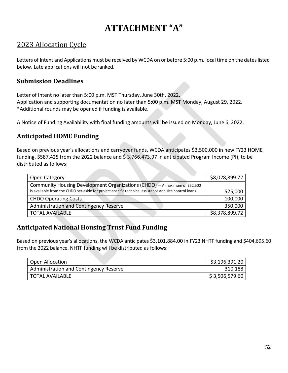# **ATTACHMENT "A"**

# 2023 Allocation Cycle

Letters of Intent and Applications must be received by WCDA on or before 5:00 p.m. local time on the dates listed below. Late applications will not beranked.

#### **Submission Deadlines**

Letter of Intent no later than 5:00 p.m. MST Thursday, June 30th, 2022. Application and supporting documentation no later than 5:00 p.m. MST Monday, August 29, 2022. \*Additional rounds may be opened if funding is available.

A Notice of Funding Availability with final funding amounts will be issued on Monday, June 6, 2022.

#### **Anticipated HOME Funding**

Based on previous year's allocations and carryover funds, WCDA anticipates \$3,500,000 in new FY23 HOME funding, \$587,425 from the 2022 balance and \$3,766,473.97 in anticipated Program Income (PI), to be distributed as follows:

| Open Category                                                                                         | \$8,028,899.72 |
|-------------------------------------------------------------------------------------------------------|----------------|
| Community Housing Development Organizations (CHDO) - A maximum of \$52,500                            |                |
| is available from the CHDO set-aside for project-specific technical assistance and site control loans | 525,000        |
| <b>CHDO Operating Costs</b>                                                                           | 100,000        |
| Administration and Contingency Reserve                                                                | 350,000        |
| <b>TOTAL AVAILABLE</b>                                                                                | \$8,378,899.72 |

### **Anticipated National Housing Trust Fund Funding**

Based on previous year's allocations, the WCDA anticipates \$3,101,884.00 in FY23 NHTF funding and \$404,695.60 from the 2022 balance. NHTF funding will be distributed as follows:

| <b>Open Allocation</b>                 | \$3,196,391.20 |
|----------------------------------------|----------------|
| Administration and Contingency Reserve | 310,188        |
| TOTAL AVAILABLE                        | \$3,506,579.60 |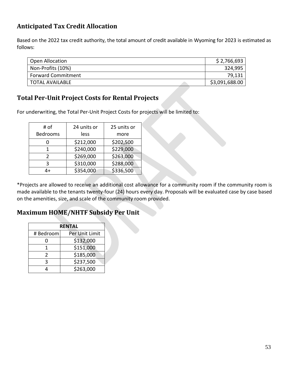# **Anticipated Tax Credit Allocation**

Based on the 2022 tax credit authority, the total amount of credit available in Wyoming for 2023 is estimated as follows:

| Open Allocation           | \$2,766,693    |
|---------------------------|----------------|
| Non-Profits (10%)         | 324,995        |
| <b>Forward Commitment</b> | 79,131         |
| TOTAL AVAILABLE           | \$3,091,688.00 |
|                           |                |

### **Total Per-Unit Project Costs for Rental Projects**

For underwriting, the Total Per-Unit Project Costs for projects will be limited to:

| # of            | 24 units or | 25 units or |
|-----------------|-------------|-------------|
| <b>Bedrooms</b> | less        | more        |
|                 | \$212,000   | \$202,500   |
| 1               | \$240,000   | \$229,000   |
| $\mathcal{P}$   | \$269,000   | \$263,000   |
| 3               | \$310,000   | \$288,000   |
| 4+              | \$354,000   | \$336,500   |

\*Projects are allowed to receive an additional cost allowance for a community room if the community room is made available to the tenants twenty-four (24) hours every day. Proposals will be evaluated case by case based on the amenities, size, and scale of the community room provided.

#### **Maximum HOME/NHTF Subsidy Per Unit**

| <b>RENTAL</b> |                |  |
|---------------|----------------|--|
| # Bedroom     | Per Unit Limit |  |
| O             | \$132,000      |  |
| 1             | \$151,000      |  |
| 2             | \$185,000      |  |
| ς             | \$237,500      |  |
|               | \$263,000      |  |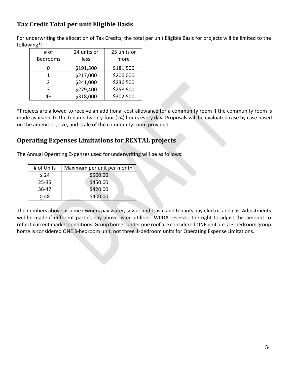# **Tax Credit Total per unit Eligible Basis**

For underwriting the allocation of Tax Credits, the total per unit Eligible Basis for projects will be limited to the following\*:

| # of            | 24 units or | 25 units or |
|-----------------|-------------|-------------|
| <b>Bedrooms</b> | less        | more        |
|                 | \$191,500   | \$181,500   |
|                 | \$217,000   | \$206,000   |
| $\mathcal{P}$   | \$241,000   | \$236,500   |
| ς               | \$279,400   | \$258,500   |
| 4+              | \$318,000   | \$302,500   |

\*Projects are allowed to receive an additional cost allowance for a community room if the community room is made available to the tenants twenty-four (24) hours every day. Proposals will be evaluated case by case based on the amenities, size, and scale of the community room provided.

#### **Operating Expenses Limitations for RENTAL projects**

The Annual Operating Expenses used for underwriting will be as follows:

| # of Units | Maximum per unit per month |
|------------|----------------------------|
| < 24       | \$500.00                   |
| $25 - 35$  | \$450.00                   |
| 36-47      | \$420.00                   |
| > 48       | \$400.00                   |

The numbers above assume Owners pay water, sewer and trash, and tenants pay electric and gas. Adjustments will be made if different parties pay above listed utilities. WCDA reserves the right to adjust this amount to reflect current market conditions. Group homes under one roof are considered ONE unit. i.e. a 3-bedroom group home is considered ONE 3-bedroom unit, not three 1-bedroom units for Operating Expense Limitations.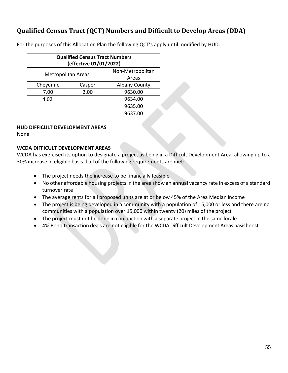# **Qualified Census Tract (QCT) Numbers and Difficult to Develop Areas (DDA)**

For the purposes of this Allocation Plan the following QCT's apply until modified by HUD.

| <b>Qualified Census Tract Numbers</b><br>(effective 01/01/2022) |        |                      |
|-----------------------------------------------------------------|--------|----------------------|
| Non-Metropolitan<br><b>Metropolitan Areas</b><br>Areas          |        |                      |
| Cheyenne                                                        | Casper | <b>Albany County</b> |
| 7.00                                                            | 2.00   | 9630.00              |
| 4.02                                                            |        | 9634.00              |
| 9635.00                                                         |        |                      |
|                                                                 |        | 9637.00              |

#### **HUD DIFFICULT DEVELOPMENT AREAS**

None

#### **WCDA DIFFICULT DEVELOPMENT AREAS**

WCDA has exercised its option to designate a project as being in a Difficult Development Area, allowing up to a 30% increase in eligible basis if all of the following requirements are met:

- The project needs the increase to be financially feasible
- No other affordable housing projects in the area show an annual vacancy rate in excess of a standard turnover rate
- The average rents for all proposed units are at or below 45% of the Area Median Income
- The project is being developed in a community with a population of 15,000 or less and there are no communities with a population over 15,000 within twenty (20) miles of the project
- The project must not be done in conjunction with a separate project in the same locale
- 4% Bond transaction deals are not eligible for the WCDA Difficult Development Areas basisboost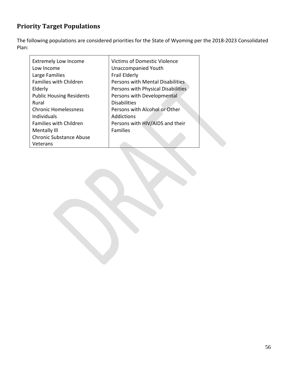# **Priority Target Populations**

The following populations are considered priorities for the State of Wyoming per the 2018-2023 Consolidated Plan:

| <b>Extremely Low Income</b>     | <b>Victims of Domestic Violence</b> |
|---------------------------------|-------------------------------------|
| Low Income                      | <b>Unaccompanied Youth</b>          |
| Large Families                  | Frail Elderly                       |
| <b>Families with Children</b>   | Persons with Mental Disabilities    |
| Elderly                         | Persons with Physical Disabilities  |
| <b>Public Housing Residents</b> | Persons with Developmental          |
| Rural                           | <b>Disabilities</b>                 |
| <b>Chronic Homelessness</b>     | Persons with Alcohol or Other       |
| <b>Individuals</b>              | Addictions                          |
| <b>Families with Children</b>   | Persons with HIV/AIDS and their     |
| Mentally III                    | <b>Families</b>                     |
| <b>Chronic Substance Abuse</b>  |                                     |
| Veterans                        |                                     |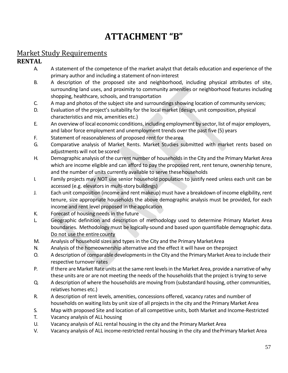# **ATTACHMENT "B"**

# Market Study Requirements

# **RENTAL**

- A. A statement of the competence of the market analyst that details education and experience of the primary author and including a statement ofnon-interest
- B. A description of the proposed site and neighborhood, including physical attributes of site, surrounding land uses, and proximity to community amenities or neighborhood features including shopping, healthcare, schools, and transportation
- C. A map and photos of the subject site and surroundings showing location of community services;
- D. Evaluation of the project's suitability for the local market (design, unit composition, physical characteristics and mix, amenities etc.)
- E. An overview of local economic conditions, including employment by sector, list of major employers, and labor force employment and unemployment trends over the past five (5) years
- F. Statement of reasonableness of proposed rent for thearea
- G. Comparative analysis of Market Rents. Market Studies submitted with market rents based on adjustments will not be scored
- H. Demographic analysis of the current number of householdsin the City and the Primary Market Area which are income eligible and can afford to pay the proposed rent, rent tenure, ownership tenure, and the number of units currently available to serve thesehouseholds
- I. Family projects may NOT use senior household population to justify need unless each unit can be accessed (e.g. elevators in multi-story buildings)
- J. Each unit composition (income and rent makeup) must have a breakdown of income eligibility, rent tenure, size appropriate households the above demographic analysis must be provided, for each income and rent level proposed in the application
- K. Forecast of housing needs in the future
- L. Geographic definition and description of methodology used to determine Primary Market Area boundaries. Methodology must be logically-sound and based upon quantifiable demographic data. Do not use the entire county
- M. Analysis of household sizes and types in the City and the Primary MarketArea
- N. Analysis of the homeownership alternative and the effect it will have on theproject
- O. A description of comparable developmentsin the City and the Primary Market Area to include their respective turnover rates
- P. If there are Market Rate units at the same rent levelsin the Market Area, provide a narrative of why these units are or are not meeting the needs of the households that the project is trying to serve
- Q. A description of where the households are moving from (substandard housing, other communities, relatives homes etc.)
- R. A description of rent levels, amenities, concessions offered, vacancy rates and number of households on waiting lists by unit size of all projects in the city and the Primary Market Area
- S. Map with proposed Site and location of all competitive units, both Market and Income-Restricted
- T. Vacancy analysis of ALL housing
- U. Vacancy analysis of ALL rental housing in the city and the Primary Market Area
- V. Vacancy analysis of ALL income-restricted rental housing in the city and thePrimary Market Area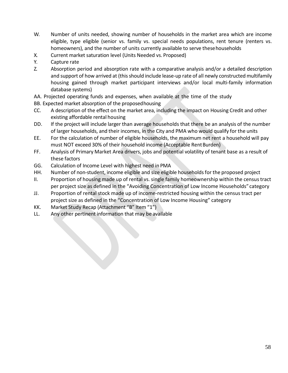- W. Number of units needed, showing number of households in the market area which are income eligible, type eligible (senior vs. family vs. special needs populations, rent tenure (renters vs. homeowners), and the number of units currently available to serve thesehouseholds
- X. Current market saturation level (Units Needed vs. Proposed)
- Y. Capture rate
- Z. Absorption period and absorption rate with a comparative analysis and/or a detailed description and support of how arrived at (this should include lease-up rate of all newly constructed multifamily housing gained through market participant interviews and/or local multi-family information database systems)
- AA. Projected operating funds and expenses, when available at the time of the study
- BB. Expected market absorption of the proposedhousing
- CC. A description of the effect on the market area, including the impact on Housing Credit and other existing affordable rental housing
- DD. If the project will include larger than average households that there be an analysis of the number of larger households, and their incomes, in the City and PMA who would qualify for the units
- EE. For the calculation of number of eligible households, the maximum net rent a household will pay must NOT exceed 30% of their household income (Acceptable Rent Burden)
- FF. Analysis of Primary Market Area drivers, jobs and potential volatility of tenant base as a result of these factors
- GG. Calculation of Income Level with highest need in PMA
- HH. Number of non-student, income eligible and size eligible households for the proposed project
- II. Proportion of housing made up of rental vs. single family homeownership within the censustract per project size as defined in the "Avoiding Concentration of Low Income Households" category
- JJ. Proportion of rental stock made up of income-restricted housing within the census tract per project size as defined in the "Concentration of Low Income Housing" category
- KK. Market Study Recap (Attachment "B" Item "1")
- LL. Any other pertinent information that may be available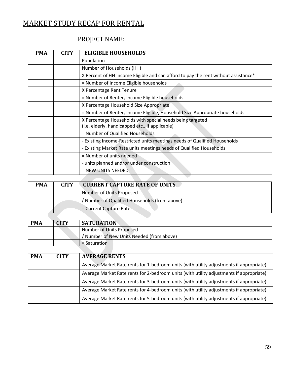# MARKET STUDY RECAP FOR RENTAL

# PROJECT NAME:

| <b>PMA</b> | <b>CITY</b> | <b>ELIGIBLE HOUSEHOLDS</b>                                                                                   |
|------------|-------------|--------------------------------------------------------------------------------------------------------------|
|            |             | Population                                                                                                   |
|            |             | Number of Households (HH)                                                                                    |
|            |             | X Percent of HH Income Eligible and can afford to pay the rent without assistance*                           |
|            |             | = Number of Income Eligible households                                                                       |
|            |             | X Percentage Rent Tenure                                                                                     |
|            |             | = Number of Renter, Income Eligible households                                                               |
|            |             | X Percentage Household Size Appropriate                                                                      |
|            |             | = Number of Renter, Income Eligible, Household Size Appropriate households                                   |
|            |             | X Percentage Households with special needs being targeted<br>(i.e. elderly, handicapped etc., If applicable) |
|            |             | = Number of Qualified Households                                                                             |
|            |             | - Existing Income-Restricted units meetings needs of Qualified Households                                    |
|            |             | - Existing Market Rate units meetings needs of Qualified Households                                          |
|            |             | = Number of units needed                                                                                     |
|            |             | - units planned and/or under construction                                                                    |
|            |             | $=$ NEW UNITS NEEDED.                                                                                        |
|            |             |                                                                                                              |

| <b>PMA</b> | <b>CITY</b> | <b>CURRENT CAPTURE RATE OF UNITS</b>        |  |
|------------|-------------|---------------------------------------------|--|
|            |             | Number of Units Proposed                    |  |
|            |             | Number of Qualified Households (from above) |  |
|            |             | $=$ Current Capture Rate                    |  |
|            |             |                                             |  |

| <b>PMA</b> | <b>CITY</b> | <b>SATURATION</b>                       |
|------------|-------------|-----------------------------------------|
|            |             | Number of Units Proposed                |
|            |             | Number of New Units Needed (from above) |
|            |             | $=$ Saturation                          |

| <b>PMA</b> | <b>CITY</b> | <b>AVERAGE RENTS</b>                                                                    |
|------------|-------------|-----------------------------------------------------------------------------------------|
|            |             | Average Market Rate rents for 1-bedroom units (with utility adjustments if appropriate) |
|            |             | Average Market Rate rents for 2-bedroom units (with utility adjustments if appropriate) |
|            |             | Average Market Rate rents for 3-bedroom units (with utility adjustments if appropriate) |
|            |             | Average Market Rate rents for 4-bedroom units (with utility adjustments if appropriate) |
|            |             | Average Market Rate rents for 5-bedroom units (with utility adjustments if appropriate) |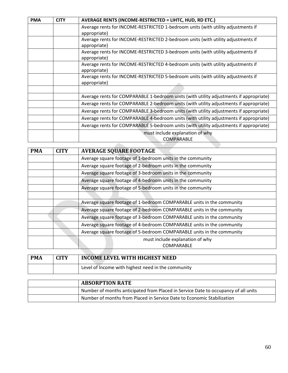| <b>PMA</b> | <b>CITY</b> | AVERAGE RENTS (INCOME-RESTRICTED = LIHTC, HUD, RD ETC.)                                          |  |
|------------|-------------|--------------------------------------------------------------------------------------------------|--|
|            |             | Average rents for INCOME-RESTRICTED 1-bedroom units (with utility adjustments if                 |  |
|            |             | appropriate)                                                                                     |  |
|            |             | Average rents for INCOME-RESTRICTED 2-bedroom units (with utility adjustments if<br>appropriate) |  |
|            |             | Average rents for INCOME-RESTRICTED 3-bedroom units (with utility adjustments if<br>appropriate) |  |
|            |             | Average rents for INCOME-RESTRICTED 4-bedroom units (with utility adjustments if<br>appropriate) |  |
|            |             | Average rents for INCOME-RESTRICTED 5-bedroom units (with utility adjustments if<br>appropriate) |  |
|            |             |                                                                                                  |  |
|            |             | Average rents for COMPARABLE 1-bedroom units (with utility adjustments if appropriate)           |  |
|            |             | Average rents for COMPARABLE 2-bedroom units (with utility adjustments if appropriate)           |  |
|            |             | Average rents for COMPARABLE 3-bedroom units (with utility adjustments if appropriate)           |  |
|            |             | Average rents for COMPARABLE 4-bedroom units (with utility adjustments if appropriate)           |  |
|            |             | Average rents for COMPARABLE 5-bedroom units (with utility adjustments if appropriate)           |  |
|            |             | must include explanation of why                                                                  |  |
|            |             | COMPARABLE                                                                                       |  |

| <b>PMA</b> | <b>CITY</b> | <b>AVERAGE SQUARE FOOTAGE</b>                                         |  |  |  |
|------------|-------------|-----------------------------------------------------------------------|--|--|--|
|            |             | Average square footage of 1-bedroom units in the community            |  |  |  |
|            |             | Average square footage of 2-bedroom units in the community            |  |  |  |
|            |             | Average square footage of 3-bedroom units in the community            |  |  |  |
|            |             | Average square footage of 4-bedroom units in the community            |  |  |  |
|            |             | Average square footage of 5-bedroom units in the community            |  |  |  |
|            |             |                                                                       |  |  |  |
|            |             | Average square footage of 1-bedroom COMPARABLE units in the community |  |  |  |
|            |             | Average square footage of 2-bedroom COMPARABLE units in the community |  |  |  |
|            |             | Average square footage of 3-bedroom COMPARABLE units in the community |  |  |  |
|            |             | Average square footage of 4-bedroom COMPARABLE units in the community |  |  |  |
|            |             | Average square footage of 5-bedroom COMPARABLE units in the community |  |  |  |
|            |             | must include explanation of why                                       |  |  |  |
|            |             | COMPARABLE                                                            |  |  |  |

| <b>PMA</b> | <b>CITV</b> | INCOME LEVEL WITH HIGHEST NEED                     |  |
|------------|-------------|----------------------------------------------------|--|
|            |             | Level of Income with highest need in the community |  |

| <b>ABSORPTION RATE</b>                                                             |
|------------------------------------------------------------------------------------|
| Number of months anticipated from Placed in Service Date to occupancy of all units |
| Number of months from Placed in Service Date to Economic Stabilization             |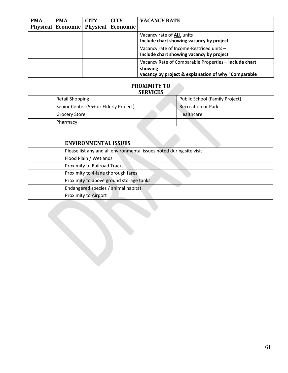| <b>PMA</b> | <b>PMA</b> | <b>CITY</b> | <b>CITY</b>                         | <b>VACANCY RATE</b>                                                                                                     |
|------------|------------|-------------|-------------------------------------|-------------------------------------------------------------------------------------------------------------------------|
|            |            |             | Physical Economic Physical Economic |                                                                                                                         |
|            |            |             |                                     | Vacancy rate of ALL units -<br>Include chart showing vacancy by project                                                 |
|            |            |             |                                     | Vacancy rate of Income-Restriced units -<br>Include chart showing vacancy by project                                    |
|            |            |             |                                     | Vacancy Rate of Comparable Properties - Include chart<br>showing<br>vacancy by project & explanation of why "Comparable |

| <b>PROXIMITY TO</b><br><b>SERVICES</b> |                                |  |  |  |
|----------------------------------------|--------------------------------|--|--|--|
| <b>Retail Shopping</b>                 | Public School (Family Project) |  |  |  |
| Senior Center (55+ or Elderly Project) | <b>Recreation or Park</b>      |  |  |  |
| <b>Grocery Store</b>                   | Healthcare                     |  |  |  |
| Pharmacy                               |                                |  |  |  |

| <b>ENVIRONMENTAL ISSUES</b>                                          |
|----------------------------------------------------------------------|
| Please list any and all environmental issues noted during site visit |
| Flood Plain / Wetlands                                               |
| <b>Proximity to Railroad Tracks</b>                                  |
| Proximity to 4-lane thorough fares                                   |
| Proximity to above ground storage tanks                              |
| Endangered species / animal habitat                                  |
| <b>Proximity to Airport</b>                                          |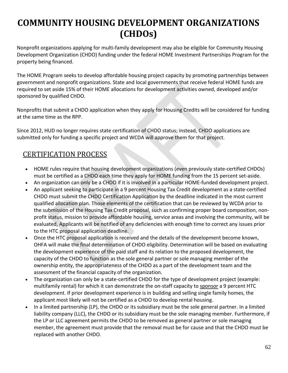# **COMMUNITY HOUSING DEVELOPMENT ORGANIZATIONS (CHDOs)**

Nonprofit organizations applying for multi-family development may also be eligible for Community Housing Development Organization (CHDO) funding under the federal HOME Investment Partnerships Program for the property being financed.

The HOME Program seeks to develop affordable housing project capacity by promoting partnerships between government and nonprofit organizations. State and local governments that receive federal HOME funds are required to set aside 15% of their HOME allocations for development activities owned, developed and/or sponsored by qualified CHDO.

Nonprofits that submit a CHDO application when they apply for Housing Credits will be considered for funding at the same time as the RPP.

Since 2012, HUD no longer requires state certification of CHDO status; instead, CHDO applications are submitted only for funding a specific project and WCDA will approve them for that project.

# CERTIFICATION PROCESS

- HOME rules require that housing development organizations (even previously state-certified CHDOs) must be certified as a CHDO each time they apply for HOME funding from the 15 percent set-aside.
- An organization can only be a CHDO if it is involved in a particular HOME-funded development project.
- An applicant seeking to participate in a 9 percent Housing Tax Credit development as a state-certified CHDO must submit the CHDO Certification Application by the deadline indicated in the most current qualified allocation plan. Those elements of the certification that can be reviewed by WCDA prior to the submission of the Housing Tax Credit proposal, such as confirming proper board composition, nonprofit status, mission to provide affordable housing, service areas and involving the community, will be evaluated, Applicants will be notified of any deficiencies with enough time to correct any issues prior to the HTC proposal application deadline.
- Once the HTC proposal application is received and the details of the development become known, OHFA will make the final determination of CHDO eligibility. Determination will be based on evaluating the development experience of the paid staff and its relation to the proposed development, the capacity of the CHDO to function as the sole general partner or sole managing member of the ownership entity, the appropriateness of the CHDO as a part of the development team and the assessment of the financial capacity of the organization.
- The organization can only be a state-certified CHDO for the type of development project (example: multifamily rental) for which it can demonstrate the on-staff capacity to sponsor a 9 percent HTC development. If prior development experience is in building and selling single family homes, the applicant most likely will not be certified as a CHDO to develop rental housing.
- In a limited partnership (LP), the CHDO or its subsidiary must be the sole general partner. In a limited liability company (LLC), the CHDO or its subsidiary must be the sole managing member. Furthermore, if the LP or LLC agreement permits the CHDO to be removed as general partner or sole managing member, the agreement must provide that the removal must be for cause and that the CHDO must be replaced with another CHDO.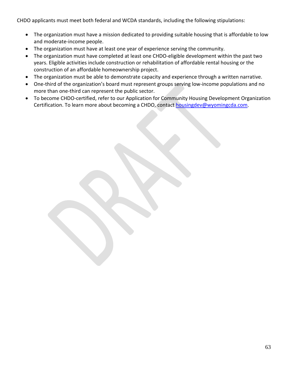CHDO applicants must meet both federal and WCDA standards, including the following stipulations:

- The organization must have a mission dedicated to providing suitable housing that is affordable to low and moderate-income people.
- The organization must have at least one year of experience serving the community.
- The organization must have completed at least one CHDO-eligible development within the past two years. Eligible activities include construction or rehabilitation of affordable rental housing or the construction of an affordable homeownership project.
- The organization must be able to demonstrate capacity and experience through a written narrative.
- One-third of the organization's board must represent groups serving low-income populations and no more than one-third can represent the public sector.
- To become CHDO-certified, refer to our Application for Community Housing Development Organization Certification. To learn more about becoming a CHDO, contact [housingdev@wyomingcda.com.](mailto:housingdev@wyomingcda.com)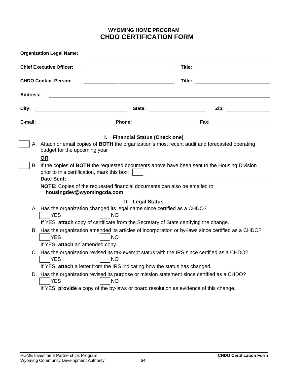#### **WYOMING HOME PROGRAM CHDO CERTIFICATION FORM**

| <b>Organization Legal Name:</b> |                                                                                                                                                                                                                                                                                  |  |  |  |  |
|---------------------------------|----------------------------------------------------------------------------------------------------------------------------------------------------------------------------------------------------------------------------------------------------------------------------------|--|--|--|--|
|                                 | <b>Chief Executive Officer:</b>                                                                                                                                                                                                                                                  |  |  |  |  |
|                                 | <b>CHDO Contact Person:</b><br>Title:                                                                                                                                                                                                                                            |  |  |  |  |
| <b>Address:</b>                 |                                                                                                                                                                                                                                                                                  |  |  |  |  |
| City:                           | <u> 1989 - Johann Barn, mars eta bainar eta idazlea (</u>                                                                                                                                                                                                                        |  |  |  |  |
| E-mail:                         |                                                                                                                                                                                                                                                                                  |  |  |  |  |
|                                 | I. Financial Status (Check one)<br>A. Attach or email copies of BOTH the organization's most recent audit and forecasted operating<br>budget for the upcoming year<br><b>OR</b><br>B. If the copies of BOTH the requested documents above have been sent to the Housing Division |  |  |  |  |
|                                 | prior to this certification, mark this box:<br><b>Date Sent:</b><br>NOTE: Copies of the requested financial documents can also be emailed to<br>housingdev@wyomingcda.com                                                                                                        |  |  |  |  |
|                                 | II. Legal Status<br>A. Has the organization changed its legal name since certified as a CHDO?<br><b>YES</b><br><b>NO</b><br>If YES, attach copy of certificate from the Secretary of State certifying the change.                                                                |  |  |  |  |
|                                 | B. Has the organization amended its articles of incorporation or by-laws since certified as a CHDO?<br><b>NO</b><br><b>YES</b><br>If YES, attach an amended copy.                                                                                                                |  |  |  |  |
|                                 | C. Has the organization revised its tax-exempt status with the IRS since certified as a CHDO?<br><b>YES</b><br><b>NO</b><br>If YES, attach a letter from the IRS indicating how the status has changed.                                                                          |  |  |  |  |
|                                 | D. Has the organization revised its purpose or mission statement since certified as a CHDO?<br><b>YES</b><br><b>NO</b><br>If YES, provide a copy of the by-laws or board resolution as evidence of this change.                                                                  |  |  |  |  |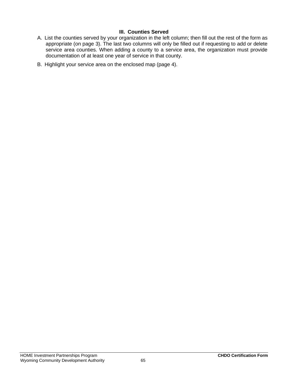#### **III. Counties Served**

- A. List the counties served by your organization in the left column; then fill out the rest of the form as appropriate (on page 3). The last two columns will only be filled out if requesting to add or delete service area counties. When adding a county to a service area, the organization must provide documentation of at least one year of service in that county.
- B. Highlight your service area on the enclosed map (page 4).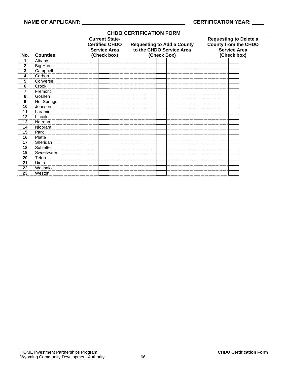#### **No. Counties Current State-Certified CHDO Service Area (Check box) Requesting to Add a County to the CHDO Service Area (Check Box) Requesting to Delete a County from the CHDO Service Area (Check box)** 1 Albany<br>2 Big Horr **2** Big Horn **3** Campbell 4 Carbon<br>5 Convers **5** Converse **6** Crook **7** Fremont 8 Goshen<br>9 Hot Sprir **9** Hot Springs **10** Johnson **11** Laramie 12 Lincoln<br>13 Natrona **13** Natrona **14** Niobrara **15** Park 16 Platte<br>17 Sherid **17** Sheridan **18** Sublette 19 Sweetwater<br>**20** Teton **20** Teton **21** Uinta **22** Washakie **23** Weston

#### **CHDO CERTIFICATION FORM**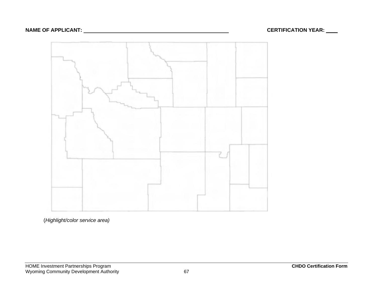

(*Highlight/color service area)*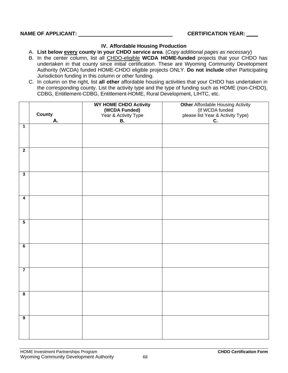#### **IV. Affordable Housing Production**

A. **List below every county in your CHDO service area**. (*Copy additional pages as necessary*)

- B. In the center column, list all CHDO-eligible **WCDA HOME-funded** projects that your CHDO has undertaken in that county since initial certification. These are Wyoming Community Development Authority (WCDA) funded HOME-CHDO eligible projects ONLY. **Do not include** other Participating Jurisdiction funding in this column or other funding.
- C. In column on the right, list **all other** affordable housing activities that your CHDO has undertaken in the corresponding county. List the activity type and the type of funding such as HOME (non-CHDO), CDBG, Entitlement-CDBG, Entitlement-HOME, Rural Development, LIHTC, etc.

|                         | County | WY HOME CHDO Activity<br>(WCDA Funded)<br>Year & Activity Type | Other Affordable Housing Activity<br>(If WCDA funded<br>please list Year & Activity Type) |
|-------------------------|--------|----------------------------------------------------------------|-------------------------------------------------------------------------------------------|
|                         | А.     | <b>B.</b>                                                      | C.                                                                                        |
| $\overline{1}$          |        |                                                                |                                                                                           |
| $\overline{2}$          |        |                                                                |                                                                                           |
| $\overline{3}$          |        |                                                                |                                                                                           |
| $\overline{4}$          |        |                                                                |                                                                                           |
| $\overline{\mathbf{5}}$ |        |                                                                |                                                                                           |
| $\overline{\mathbf{6}}$ |        |                                                                |                                                                                           |
| $\overline{7}$          |        |                                                                |                                                                                           |
| $\overline{\mathbf{8}}$ |        |                                                                |                                                                                           |
| $\overline{9}$          |        |                                                                |                                                                                           |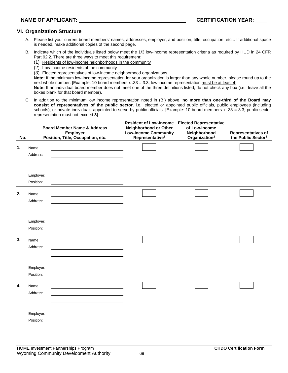#### **VI. Organization Structure**

- A. Please list your current board members' names, addresses, employer, and position, title, occupation, etc... If additional space is needed, make additional copies of the second page.
- B. Indicate which of the individuals listed below meet the 1/3 low-income representation criteria as required by HUD in 24 CFR Part 92.2. There are three ways to meet this requirement:
	- (1) Residents of low-income neighborhoods in the community
	- (2) Low-income residents of the community
	- (3) Elected representatives of low-income neighborhood organizations

**Note:** If the minimum low-income representation for your organization is larger than any whole number, please round up to the next whole number. [Example: 10 board members x .33 = 3.3; low-income representation must be at least **4**].

**Note:** If an individual board member does not meet one of the three definitions listed, do not check any box (i.e., leave all the boxes blank for that board member).

C. In addition to the minimum low income representation noted in (B.) above, **no more than one-third of the Board may consist of representatives of the public sector**, i.e., elected or appointed public officials, public employees (including schools), or private individuals appointed to serve by public officials. [Example: 10 board members x .33 = 3.3; public sector representation must not exceed **3**]

| No. |                        | <b>Board Member Name &amp; Address</b><br>Employer<br>Position, Title, Occupation, etc. | <b>Resident of Low-Income</b><br>Neighborhood or Other<br><b>Low-Income Community</b><br>Representative <sup>1</sup> | <b>Elected Representative</b><br>of Low-Income<br>Neighborhood<br>Organization <sup>2</sup> | <b>Representatives of</b><br>the Public Sector <sup>3</sup> |
|-----|------------------------|-----------------------------------------------------------------------------------------|----------------------------------------------------------------------------------------------------------------------|---------------------------------------------------------------------------------------------|-------------------------------------------------------------|
| 1.  | Name:<br>Address:      |                                                                                         |                                                                                                                      |                                                                                             |                                                             |
|     | Employer:<br>Position: |                                                                                         |                                                                                                                      |                                                                                             |                                                             |
| 2.  | Name:<br>Address:      |                                                                                         |                                                                                                                      |                                                                                             |                                                             |
|     | Employer:<br>Position: |                                                                                         |                                                                                                                      |                                                                                             |                                                             |
| 3.  | Name:<br>Address:      |                                                                                         |                                                                                                                      |                                                                                             |                                                             |
|     | Employer:<br>Position: |                                                                                         |                                                                                                                      |                                                                                             |                                                             |
| 4.  | Name:<br>Address:      |                                                                                         |                                                                                                                      |                                                                                             |                                                             |
|     | Employer:<br>Position: |                                                                                         |                                                                                                                      |                                                                                             |                                                             |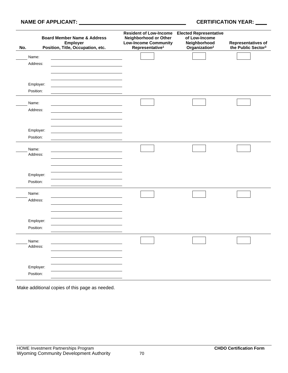#### **NAME OF APPLICANT: CERTIFICATION YEAR: \_\_\_\_**

| No.                    | <b>Board Member Name &amp; Address</b><br>Employer<br>Position, Title, Occupation, etc. | <b>Resident of Low-Income</b><br>Neighborhood or Other<br><b>Low-Income Community</b><br>Representative <sup>1</sup> | <b>Elected Representative</b><br>of Low-Income<br>Neighborhood<br>Organization <sup>2</sup> | <b>Representatives of</b><br>the Public Sector <sup>3</sup> |
|------------------------|-----------------------------------------------------------------------------------------|----------------------------------------------------------------------------------------------------------------------|---------------------------------------------------------------------------------------------|-------------------------------------------------------------|
| Name:<br>Address:      |                                                                                         |                                                                                                                      |                                                                                             |                                                             |
| Employer:<br>Position: |                                                                                         |                                                                                                                      |                                                                                             |                                                             |
| Name:<br>Address:      |                                                                                         |                                                                                                                      |                                                                                             |                                                             |
| Employer:<br>Position: |                                                                                         |                                                                                                                      |                                                                                             |                                                             |
| Name:<br>Address:      |                                                                                         |                                                                                                                      |                                                                                             |                                                             |
| Employer:<br>Position: |                                                                                         |                                                                                                                      |                                                                                             |                                                             |
| Name:<br>Address:      |                                                                                         |                                                                                                                      |                                                                                             |                                                             |
| Employer:<br>Position: |                                                                                         |                                                                                                                      |                                                                                             |                                                             |
| Name:<br>Address:      |                                                                                         |                                                                                                                      |                                                                                             |                                                             |
| Employer:<br>Position: |                                                                                         |                                                                                                                      |                                                                                             |                                                             |

Make additional copies of this page as needed.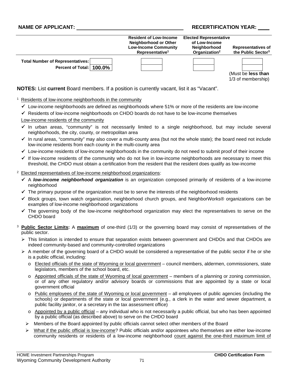#### **NAME OF APPLICANT: And All and All and All and All and All and All and All and All and All and All and All and A**

|                                                                       | <b>Resident of Low-Income</b><br>Neighborhood or Other<br><b>Low-Income Community</b><br>Representative <sup>1</sup> | <b>Elected Representative</b><br>of Low-Income<br><b>Neighborhood</b><br>Organization <sup>2</sup> | <b>Representatives of</b><br>the Public Sector <sup>3</sup> |
|-----------------------------------------------------------------------|----------------------------------------------------------------------------------------------------------------------|----------------------------------------------------------------------------------------------------|-------------------------------------------------------------|
| <b>Total Number of Representatives:</b><br>Percent of Total:   100.0% |                                                                                                                      |                                                                                                    | (Must be less than<br>1/3 of membership)                    |

**NOTES:** List **current** Board members. If a position is currently vacant, list it as "Vacant".

#### <sup>1</sup> Residents of low-income neighborhoods in the community

- $\checkmark$  Low-income neighborhoods are defined as neighborhoods where 51% or more of the residents are low-income
- $\checkmark$  Residents of low-income neighborhoods on CHDO boards do not have to be low-income themselves

#### Low-income residents of the community

- In urban areas, "community" is not necessarily limited to a single neighborhood, but may include several neighborhoods, the city, county, or metropolitan area
- $\checkmark$  In rural areas, "community" may also cover a multi-county area (but not the whole state); the board need not include low-income residents from each county in the multi-county area
- $\checkmark$  Low-income residents of low-income neighborhoods in the community do not need to submit proof of their income
- $\checkmark$  If low-income residents of the community who do not live in low-income neighborhoods are necessary to meet this threshold, the CHDO must obtain a certification from the resident that the resident does qualify as low-income
- <sup>2</sup> Elected representatives of low-income neighborhood organizations:
	- A *low-income neighborhood organization* is an organization composed primarily of residents of a low-income neighborhood
	- $\checkmark$  The primary purpose of the organization must be to serve the interests of the neighborhood residents
	- $\checkmark$  Block groups, town watch organization, neighborhood church groups, and NeighborWorks® organizations can be examples of low-income neighborhood organizations
	- $\checkmark$  The governing body of the low-income neighborhood organization may elect the representatives to serve on the CHDO board
- <sup>3</sup> **Public Sector Limits:** A **maximum** of one-third (1/3) or the governing board may consist of representatives of the public sector.
	- $\triangleright$  This limitation is intended to ensure that separation exists between government and CHDOs and that CHDOs are indeed community-based and community-controlled organizations
	- $\triangleright$  A member of the governing board of a CHDO would be considered a representative of the public sector if he or she is a public official, including:
		- o Elected officials of the state of Wyoming or local government council members, aldermen, commissioners, state legislators, members of the school board, etc.
		- o Appointed officials of the state of Wyoming of local government members of a planning or zoning commission, or of any other regulatory and/or advisory boards or commissions that are appointed by a state or local government official
		- o Public employees of the state of Wyoming or local government all employees of public agencies (including the schools) or departments of the state or local government (e.g., a clerk in the water and sewer department, a public facility janitor, or a secretary in the tax assessment office)
		- $\circ$  Appointed by a public official any individual who is not necessarily a public official, but who has been appointed by a public official (as described above) to serve on the CHDO board
		- $\triangleright$  Members of the Board appointed by public officials cannot select other members of the Board
		- What if the public official is low-income? Public officials and/or appointees who themselves are either low-income community residents or residents of a low-income neighborhood count against the one-third maximum limit of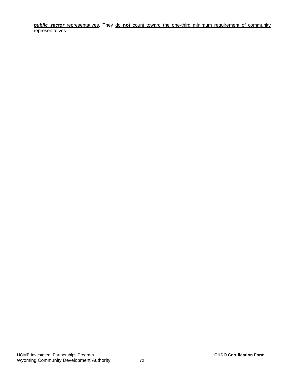*public sector* representatives. They do **not** count toward the one-third minimum requirement of community **representatives**